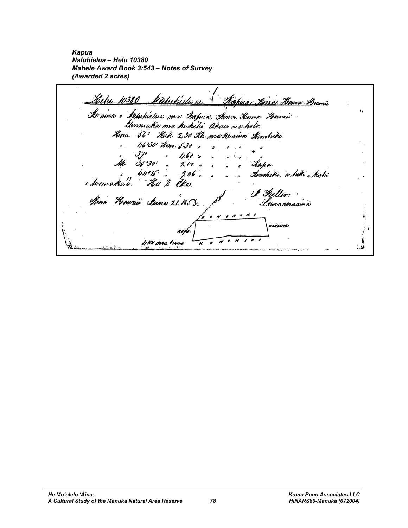*Kapua Naluhielua – Helu 10380 Mahele Award Book 3:543 – Notes of Survey (Awarded 2 acres)* 

Helu 10380 Naturkidua <u>Käpuaj Kina. Hema Kawau</u> "Ke ama o Satuhvelua ma Aapua, Ama, Homa Hoavair"<br>"Awmaha ma he hihi" Akaw a v holo. Hem. 56° Hik. 2,30 Ah make aine Ambuki. 4630' Ann. 5.30  $4.60:$  $200$ "Xaha.  $.906$ timohitri, a hiki i kahi i hvmakali. CK a A Huller. Kma *H*awaii *Iune 21.1*853. Innaanaama <sub>Kanawiai</sub> K 4 KN ana I ININ H ,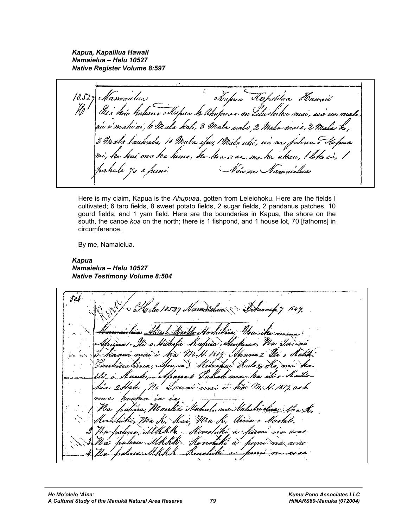*Kapua, Kapalilua Hawaii Namaielua – Helu 10527 Native Register Volume 8:597* 

,<br>Uus Itapun Kapun tahulun Hawrii<br>kuliane Mpun ki lihupuna no lilushoku mai, iia'au mali Namaulus  $10.52$ z Ho 'mahi'ai, 6 Mala kali, 8 Mala ualo 2 Mala mais, he, 10 Mala iljuv, Mida uhi, rea vuo 2 Madra ka hema, ke kia waa ma ka akan, in na Namaidhea il.

Here is my claim, Kapua is the *Ahupuaa*, gotten from Leleiohoku. Here are the fields I cultivated; 6 taro fields, 8 sweet potato fields, 2 sugar fields, 2 pandanus patches, 10 gourd fields, and 1 yam field. Here are the boundaries in Kapua, the shore on the south, the canoe *koa* on the north; there is 1 fishpond, and 1 house lot, 70 [fathoms] in circumference.

By me, Namaielua.

*Kapua Namaielua – Helu 10527 Native Testimony Volume 8:504* 

504 10527 Mamaislum & Dehemah 7 1549, g i tha Hale & bai: Nira K lh à Hono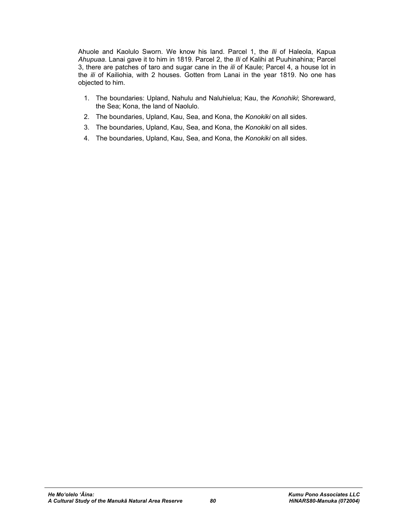Ahuole and Kaolulo Sworn. We know his land. Parcel 1, the *Ili* of Haleola, Kapua *Ahupuaa*. Lanai gave it to him in 1819. Parcel 2, the *Ili* of Kalihi at Puuhinahina; Parcel 3, there are patches of taro and sugar cane in the *ili* of Kaule; Parcel 4, a house lot in the *ili* of Kailiohia, with 2 houses. Gotten from Lanai in the year 1819. No one has objected to him.

- 1. The boundaries: Upland, Nahulu and Naluhielua; Kau, the *Konohiki*; Shoreward, the Sea; Kona, the land of Naolulo.
- 2. The boundaries, Upland, Kau, Sea, and Kona, the *Konokiki* on all sides.
- 3. The boundaries, Upland, Kau, Sea, and Kona, the *Konokiki* on all sides.
- 4. The boundaries, Upland, Kau, Sea, and Kona, the *Konokiki* on all sides.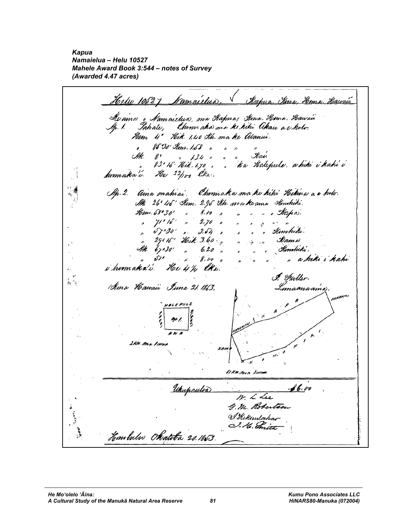*Kapua Namaielua – Helu 10527 Mahele Award Book 3:544 – notes of Survey (Awarded 4.47 acres)* 

Hele 10527 Namailus, Kapua Kena, Hema Hawai Alvama , *Va*maistua, ma Aapua; *Su*na, *Hor*ma, *Haucai*i<br>Ip. 1. Iahate, Chumi aha ma ke kihi Akau a e hoti. Hem 4' Hik. 1,40 Ah. ma ke Alanui. 85°30' Am. 1.58 " " "<sup>"</sup><br>"Ma**v**. SHR. g \* 134 +<br>g 3 ° 16 \* Hoik , 1,70 <sub>+</sub> . Ka Halepule. a hiti i kahi i homaka'i. He 22/100 CKW. Ap. 2. Ama mahiai. Chumaka ma ku kihi Kikina a e holv. M. 26° 45' Kem. 2.95 Kh. ma ke ama Kunkiki.  $8.60$ Hem.58°30' " " o Mapa.  $11.16$  $2.70$  $\mathcal{L}$  $\overline{\phantom{a}}$  $67030'$  $3.64$ Kinchiki. 29015' Heik. 3.60 II am a  $\mathcal{A}^{\mathcal{A}}$  $\overline{a}$ Kimmiki.  $67030'$  $\mathbf{r}$  $6.20$ a kiki i kahi st 1  $8,00$ i humaka'i. He 41/4 lka.  $\ddot{\varepsilon}$ I. Fuller.  $\stackrel{e}{\leftrightarrow}$ Ama Hawaii June 21. 1863. lmaanaamo 2kn. ma Innu  $\tilde{\phantom{a}}$ 11 KH prin Inne Ukupaulis <u>f 6, v</u>o Mr. L. Lee G. M. Robertson <u>S. Hekemlahar</u> I. H. Initt  $\frac{1}{2}$ Hombulu Okatoba 20.1863.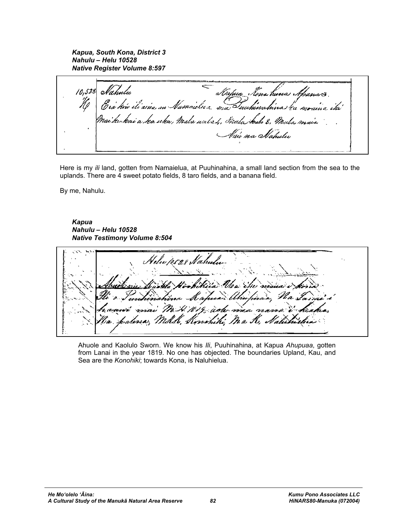*Kapua, South Kona, District 3 Nahulu – Helu 10528 Native Register Volume 8:597* 

- Kapus Ienz huna Spanzes<br>Namaclux ma Iuuhinahina ka mraisa iki Aahulu 10,528 E và hiv ili aina m'-'ke kai a ka uka, Mala untri, Mala kale 8, Mu lau ma Stahulu

Here is my *ili* land, gotten from Namaielua, at Puuhinahina, a small land section from the sea to the uplands. There are 4 sweet potato fields, 8 taro fields, and a banana field.

By me, Nahulu.

*Kapua Nahulu – Helu 10528 Native Testimony Volume 8:504* 

Helw 10528 Nahm ahufuraa, ma na 19 juste (inchiki Ma K,

Ahuole and Kaolulo Sworn. We know his *Ili*, Puuhinahina, at Kapua *Ahupuaa*, gotten from Lanai in the year 1819. No one has objected. The boundaries Upland, Kau, and Sea are the *Konohiki*; towards Kona, is Naluhielua.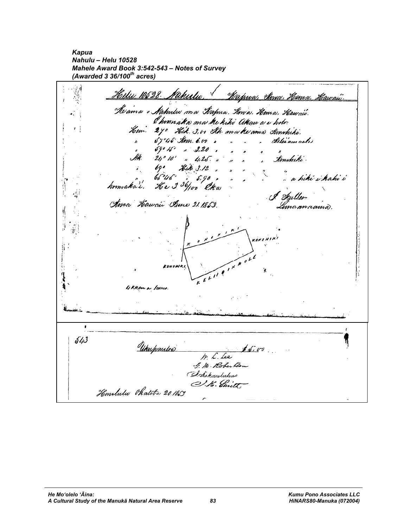*Kapua Nahulu – Helu 10528 Mahele Award Book 3:542-543 – Notes of Survey (Awarded 3 36/100th acres)* 

ं वं Hele 10528 Nahulu <u> Mapwa, Ama Kema Kawau.</u> Ke ama o Nahulw ma Kapua. Kma. Kema. Hawaw. l hvom aka ma he kihi Akau a e hvb<del>.</del> e manaas ma re nav saaw a'e nav.<br>Hem 27º "Hik. 3, vo Sth. ma ke ama Simhiho. 54045 Am. 6.00 , Kelji'am acle  $\mathbf{r}$  $59°15°$   $3.20$  $210°10'$  ,  $4.25$ Kembriki. Hik. 3.12 65°46' ", 5,90",<br>He 3 <sup>36</sup>/100 Cha a hiki ji kahi i homaka'i. ma Hawaii Anne 21.1853. ÿ  $\widetilde{\epsilon}$ 4 KHAM a IININA. ï 543 Unspantos  $1.80700$ Mr. L. Lee G. M. Robertson D. Sichaulahas O.K. Smith, Hemalulu Phatoba 20.185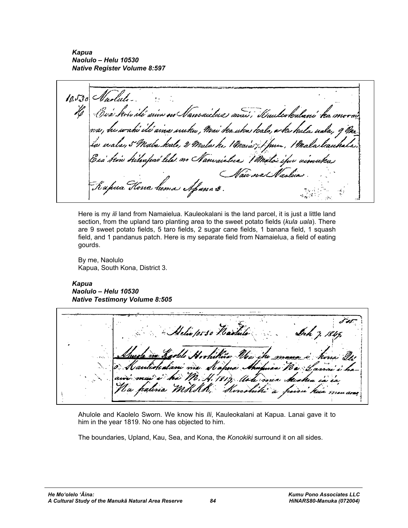*Kapua Naolulo – Helu 10530 Native Register Volume 8:597* 

 $10.530$ ili aivo no Nanraictus mai, Kauleokalani'h 'tí ains suuku , Mui ka uku kale, e ku kula usla, valo, 2 Mala ko, 1 Maria; 1 prv., aí lele no Nanvaielus Vimili llaic na A "Kapua Kona hem Afana \$.

Here is my *ili* land from Namaielua. Kauleokalani is the land parcel, it is just a little land section, from the upland taro planting area to the sweet potato fields (*kula uala*). There are 9 sweet potato fields, 5 taro fields, 2 sugar cane fields, 1 banana field, 1 squash field, and 1 pandanus patch. Here is my separate field from Namaielua, a field of eating gourds.

By me, Naolulo Kapua, South Kona, District 3.

## *Kapua*

*Naolulo – Helu 10530 Native Testimony Volume 8:505* 

lelio poso Hari rrhikiis

Ahulole and Kaolelo Sworn. We know his *Ili*, Kauleokalani at Kapua. Lanai gave it to him in the year 1819. No one has objected to him.

The boundaries, Upland, Kau, Sea, and Kona, the *Konokiki* surround it on all sides.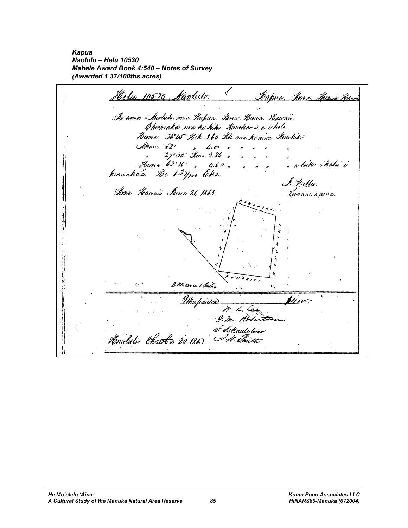*Kapua Naolulo – Helu 10530 Mahele Award Book 4:540 – Notes of Survey (Awarded 1 37/100ths acres)* 

Helu 10530 Navluto. ✓ <u>Mapua, Ken o Hema Hawia</u> Al ama e Kaolulo, ma Kapua, Kiwa Kema, Kawaw. Emmaka ma ku hiki Kombana a chole Henna. 36'45 Hik 3.60 Kh ma ke ama Konduki Maw, 52' , 4, 6% m<br>Maw, 52' , 4, 6% ,<br>Mema 62'16' , 4, 50 ,<br>Mema 62'16' , 4, 50 , ", <sub>a bi</sub>hi ihahi'i I. Huller. Ama Hawaii Sunc 21, 1863. Lunaanaama.  $k \overline{\theta}$ *NOWIKI* 2 KH. m a 1 Iniha ٠Q٠ Unipaidea <u>U</u>vo<del>.</del> M. L. Lee G. m. Rober I d'attauluhar Hemililio Chatoba 20.1853. I.H. Initt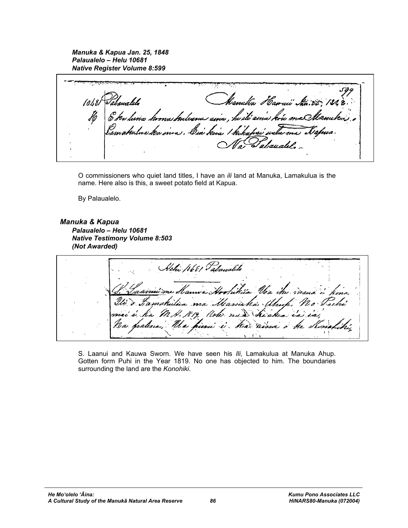*Manuka & Kapua Jan. 25, 1848 Palaualelo – Helu 10681 Native Register Volume 8:599* 

Hanuha *Ha*naii kuris etawalels 10.681 6 kw lunia *huona k*uleana aina , he ili aina kuu maQ d<br>alauati

O commissioners who quiet land titles, I have an *ili* land at Manuka, Lamakulua is the name. Here also is this, a sweet potato field at Kapua.

By Palaualelo.

*Manuka & Kapua Palaualelo – Helu 10681 Native Testimony Volume 8:503 (Not Awarded)* 

Achi 1681 Palanallo itria Voa itu s ma Marinha Ulmp kichea e uni i ka

S. Laanui and Kauwa Sworn. We have seen his *Ili*, Lamakulua at Manuka Ahup. Gotten form Puhi in the Year 1819. No one has objected to him. The boundaries surrounding the land are the *Konohiki*.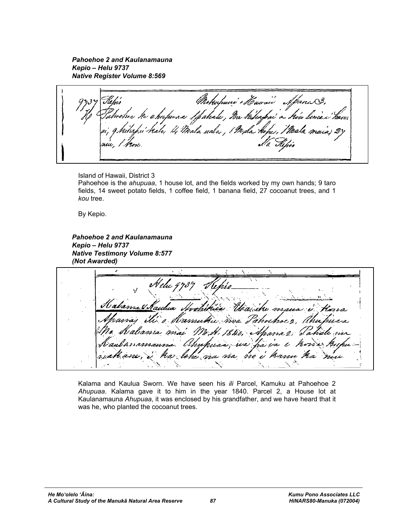*Pahoehoe 2 and Kaulanamauna Kepio – Helu 9737 Native Register Volume 8:569* 

Mokufuni' o Hawaii Spann 3, upua e /pahale , Na ka rata uala , / Mala k

Island of Hawaii, District 3 Pahoehoe is the *ahupuaa*, 1 house lot, and the fields worked by my own hands; 9 taro fields, 14 sweet potato fields, 1 coffee field, 1 banana field, 27 cocoanut trees, and 1 *kou* tree.

By Kepio.

*Pahoehoe 2 and Kaulanamauna Kepio – Helu 9737 Native Testimony Volume 8:577 (Not Awarded)* 

Al elu 4 iNamu mai Uhu wa fra va no i hamu a lohe m

Kalama and Kaulua Sworn. We have seen his *ili* Parcel, Kamuku at Pahoehoe 2 *Ahupuaa*. Kalama gave it to him in the year 1840. Parcel 2, a House lot at Kaulanamauna *Ahupuaa*, it was enclosed by his grandfather, and we have heard that it was he, who planted the cocoanut trees.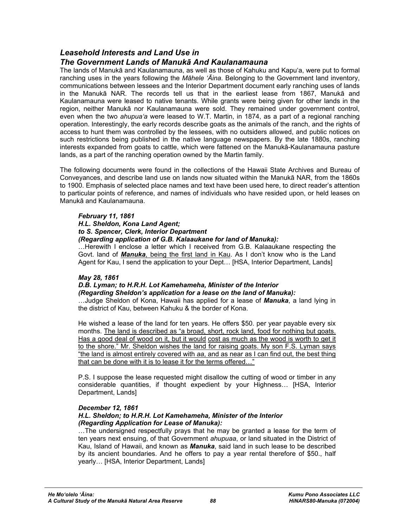## *Leasehold Interests and Land Use in*

## *The Government Lands of Manukā And Kaulanamauna*

The lands of Manukā and Kaulanamauna, as well as those of Kahuku and Kapu'a, were put to formal ranching uses in the years following the *Māhele 'Āina*. Belonging to the Government land inventory, communications between lessees and the Interior Department document early ranching uses of lands in the Manukā NAR. The records tell us that in the earliest lease from 1867, Manukā and Kaulanamauna were leased to native tenants. While grants were being given for other lands in the region, neither Manukā nor Kaulanamauna were sold. They remained under government control, even when the two *ahupua'a* were leased to W.T. Martin, in 1874, as a part of a regional ranching operation. Interestingly, the early records describe goats as the animals of the ranch, and the rights of access to hunt them was controlled by the lessees, with no outsiders allowed, and public notices on such restrictions being published in the native language newspapers. By the late 1880s, ranching interests expanded from goats to cattle, which were fattened on the Manukā-Kaulanamauna pasture lands, as a part of the ranching operation owned by the Martin family.

The following documents were found in the collections of the Hawaii State Archives and Bureau of Conveyances, and describe land use on lands now situated within the Manukā NAR, from the 1860s to 1900. Emphasis of selected place names and text have been used here, to direct reader's attention to particular points of reference, and names of individuals who have resided upon, or held leases on Manukā and Kaulanamauna.

## *February 11, 1861*

## *H.L. Sheldon, Kona Land Agent;*

#### *to S. Spencer, Clerk, Interior Department*

## *(Regarding application of G.B. Kalaaukane for land of Manuka):*

…Herewith I enclose a letter which I received from G.B. Kalaaukane respecting the Govt. land of *Manuka*, being the first land in Kau. As I don't know who is the Land Agent for Kau, I send the application to your Dept… [HSA, Interior Department, Lands]

## *May 28, 1861*

## *D.B. Lyman; to H.R.H. Lot Kamehameha, Minister of the Interior (Regarding Sheldon's application for a lease on the land of Manuka):*

…Judge Sheldon of Kona, Hawaii has applied for a lease of *Manuka*, a land lying in the district of Kau, between Kahuku & the border of Kona.

He wished a lease of the land for ten years. He offers \$50. per year payable every six months. The land is described as "a broad, short, rock land, food for nothing but goats. Has a good deal of wood on it, but it would cost as much as the wood is worth to get it to the shore." Mr. Sheldon wishes the land for raising goats. My son F.S. Lyman says "the land is almost entirely covered with *aa*, and as near as I can find out, the best thing that can be done with it is to lease it for the terms offered…"

P.S. I suppose the lease requested might disallow the cutting of wood or timber in any considerable quantities, if thought expedient by your Highness… [HSA, Interior Department, Lands]

## *December 12, 1861*

#### *H.L. Sheldon; to H.R.H. Lot Kamehameha, Minister of the Interior (Regarding Application for Lease of Manuka):*

…The undersigned respectfully prays that he may be granted a lease for the term of ten years next ensuing, of that Government *ahupuaa*, or land situated in the District of Kau, Island of Hawaii, and known as *Manuka*, said land in such lease to be described by its ancient boundaries. And he offers to pay a year rental therefore of \$50., half yearly… [HSA, Interior Department, Lands]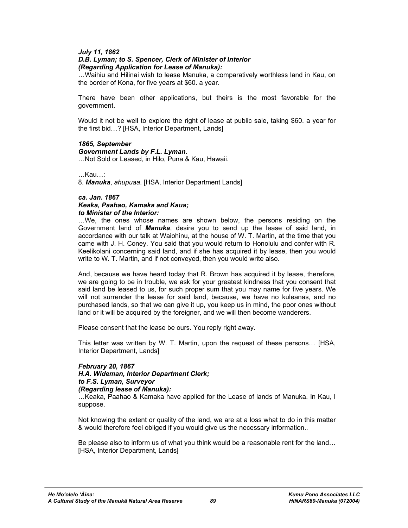### *July 11, 1862*

#### *D.B. Lyman; to S. Spencer, Clerk of Minister of Interior (Regarding Application for Lease of Manuka):*

…Waihiu and Hilinai wish to lease Manuka, a comparatively worthless land in Kau, on the border of Kona, for five years at \$60. a year.

There have been other applications, but theirs is the most favorable for the government.

Would it not be well to explore the right of lease at public sale, taking \$60. a year for the first bid…? [HSA, Interior Department, Lands]

#### *1865, September*

#### *Government Lands by F.L. Lyman.*

…Not Sold or Leased, in Hilo, Puna & Kau, Hawaii.

…Kau…:

8. *Manuka*, *ahupuaa*. [HSA, Interior Department Lands]

#### *ca. Jan. 1867*

*Keaka, Paahao, Kamaka and Kaua; to Minister of the Interior:* 

…We, the ones whose names are shown below, the persons residing on the Government land of *Manuka*, desire you to send up the lease of said land, in accordance with our talk at Waiohinu, at the house of W. T. Martin, at the time that you came with J. H. Coney. You said that you would return to Honolulu and confer with R. Keelikolani concerning said land, and if she has acquired it by lease, then you would write to W. T. Martin, and if not conveyed, then you would write also.

And, because we have heard today that R. Brown has acquired it by lease, therefore, we are going to be in trouble, we ask for your greatest kindness that you consent that said land be leased to us, for such proper sum that you may name for five years. We will not surrender the lease for said land, because, we have no kuleanas, and no purchased lands, so that we can give it up, you keep us in mind, the poor ones without land or it will be acquired by the foreigner, and we will then become wanderers.

Please consent that the lease be ours. You reply right away.

This letter was written by W. T. Martin, upon the request of these persons… [HSA, Interior Department, Lands]

## *February 20, 1867 H.A. Wideman, Interior Department Clerk; to F.S. Lyman, Surveyor (Regarding lease of Manuka):*

…Keaka, Paahao & Kamaka have applied for the Lease of lands of Manuka. In Kau, I suppose.

Not knowing the extent or quality of the land, we are at a loss what to do in this matter & would therefore feel obliged if you would give us the necessary information..

Be please also to inform us of what you think would be a reasonable rent for the land… [HSA, Interior Department, Lands]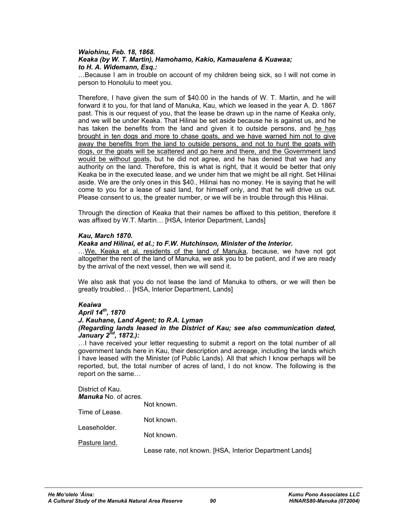#### *Waiohinu, Feb. 18, 1868. Keaka (by W. T. Martin), Hamohamo, Kakio, Kamaualena & Kuawaa; to H. A. Widemann, Esq.:*

…Because I am in trouble on account of my children being sick, so I will not come in person to Honolulu to meet you.

Therefore, I have given the sum of \$40.00 in the hands of W. T. Martin, and he will forward it to you, for that land of Manuka, Kau, which we leased in the year A. D. 1867 past. This is our request of you, that the lease be drawn up in the name of Keaka only, and we will be under Keaka. That Hilinai be set aside because he is against us, and he has taken the benefits from the land and given it to outside persons, and he has brought in ten dogs and more to chase goats, and we have warned him not to give away the benefits from the land to outside persons, and not to hunt the goats with dogs, or the goats will be scattered and go here and there, and the Government land would be without goats, but he did not agree, and he has denied that we had any authority on the land. Therefore, this is what is right, that it would be better that only Keaka be in the executed lease, and we under him that we might be all right. Set Hilinai aside. We are the only ones in this \$40., Hilinai has no money. He is saying that he will come to you for a lease of said land, for himself only, and that he will drive us out. Please consent to us, the greater number, or we will be in trouble through this Hilinai.

Through the direction of Keaka that their names be affixed to this petition, therefore it was affixed by W.T. Martin… [HSA, Interior Department, Lands]

#### *Kau, March 1870.*

#### *Keaka and Hilinai, et al.; to F.W. Hutchinson, Minister of the Interior.*

…We, Keaka et al, residents of the land of Manuka, because, we have not got altogether the rent of the land of Manuka, we ask you to be patient, and if we are ready by the arrival of the next vessel, then we will send it.

We also ask that you do not lease the land of Manuka to others, or we will then be greatly troubled… [HSA, Interior Department, Lands]

## *Keaiwa*

## *April 14th, 1870*

*J. Kauhane, Land Agent; to R.A. Lyman* 

#### *(Regarding lands leased in the District of Kau; see also communication dated, January 2nd, 1872.):*

…I have received your letter requesting to submit a report on the total number of all government lands here in Kau, their description and acreage, including the lands which I have leased with the Minister (of Public Lands). All that which I know perhaps will be reported, but, the total number of acres of land, I do not know. The following is the report on the same…

## District of Kau.

| <b>Manuka</b> No. of acres. |                                                         |
|-----------------------------|---------------------------------------------------------|
|                             | Not known.                                              |
| Time of Lease.              |                                                         |
|                             | Not known.                                              |
| Leaseholder.                |                                                         |
|                             | Not known.                                              |
| Pasture land.               |                                                         |
|                             | Lease rate, not known. [HSA, Interior Department Lands] |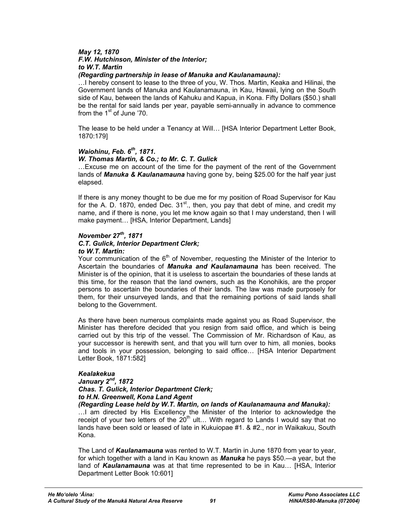#### *May 12, 1870 F.W. Hutchinson, Minister of the Interior;*

# *to W.T. Martin*

## *(Regarding partnership in lease of Manuka and Kaulanamauna):*

…I hereby consent to lease to the three of you, W. Thos. Martin, Keaka and Hilinai, the Government lands of Manuka and Kaulanamauna, in Kau, Hawaii, lying on the South side of Kau, between the lands of Kahuku and Kapua, in Kona. Fifty Dollars (\$50.) shall be the rental for said lands per year, payable semi-annually in advance to commence from the  $1<sup>st</sup>$  of June '70.

The lease to be held under a Tenancy at Will… [HSA Interior Department Letter Book, 1870:179]

#### *Waiohinu, Feb. 6th, 1871. W. Thomas Martin, & Co.; to Mr. C. T. Gulick*

…Excuse me on account of the time for the payment of the rent of the Government lands of *Manuka & Kaulanamauna* having gone by, being \$25.00 for the half year just elapsed.

If there is any money thought to be due me for my position of Road Supervisor for Kau for the A. D. 1870, ended Dec.  $31^{st}$ ., then, you pay that debt of mine, and credit my name, and if there is none, you let me know again so that I may understand, then I will make payment… [HSA, Interior Department, Lands]

## *November 27th, 1871*

# *C.T. Gulick, Interior Department Clerk;*

## *to W.T. Martin:*

Your communication of the  $6<sup>th</sup>$  of November, requesting the Minister of the Interior to Ascertain the boundaries of *Manuka and Kaulanamauna* has been received. The Minister is of the opinion, that it is useless to ascertain the boundaries of these lands at this time, for the reason that the land owners, such as the Konohikis, are the proper persons to ascertain the boundaries of their lands. The law was made purposely for them, for their unsurveyed lands, and that the remaining portions of said lands shall belong to the Government.

As there have been numerous complaints made against you as Road Supervisor, the Minister has therefore decided that you resign from said office, and which is being carried out by this trip of the vessel. The Commission of Mr. Richardson of Kau, as your successor is herewith sent, and that you will turn over to him, all monies, books and tools in your possession, belonging to said office… [HSA Interior Department Letter Book, 1871:582]

## *Kealakekua*

## *January 2nd, 1872 Chas. T. Gulick, Interior Department Clerk; to H.N. Greenwell, Kona Land Agent*

*(Regarding Lease held by W.T. Martin, on lands of Kaulanamauna and Manuka):*  ...I am directed by His Excellency the Minister of the Interior to acknowledge the receipt of your two letters of the  $20<sup>th</sup>$  ult... With regard to Lands I would say that no lands have been sold or leased of late in Kukuiopae #1. & #2., nor in Waikakuu, South Kona.

The Land of *Kaulanamauna* was rented to W.T. Martin in June 1870 from year to year, for which together with a land in Kau known as *Manuka* he pays \$50.—a year, but the land of *Kaulanamauna* was at that time represented to be in Kau… [HSA, Interior Department Letter Book 10:601]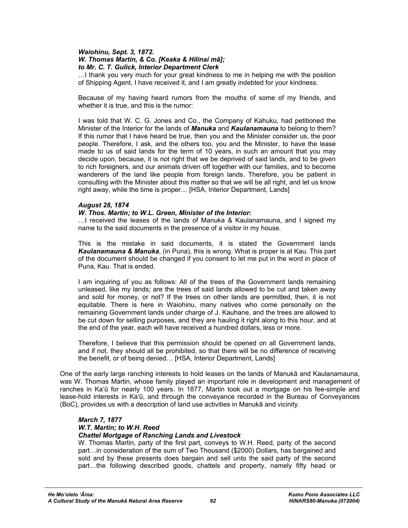#### *Waiohinu, Sept. 3, 1872. W. Thomas Martin, & Co. [Keaka & Hilinai mā]; to Mr. C. T. Gulick, Interior Department Clerk*

…I thank you very much for your great kindness to me in helping me with the position of Shipping Agent, I have received it, and I am greatly indebted for your kindness.

Because of my having heard rumors from the mouths of some of my friends, and whether it is true, and this is the rumor:

I was told that W. C. G. Jones and Co., the Company of Kahuku, had petitioned the Minister of the Interior for the lands of *Manuka* and *Kaulanamauna* to belong to them? If this rumor that I have heard be true, then you and the Minister consider us, the poor people. Therefore, I ask, and the others too, you and the Minister, to have the lease made to us of said lands for the term of 10 years, in such an amount that you may decide upon, because, it is not right that we be deprived of said lands, and to be given to rich foreigners, and our animals driven off together with our families, and to become wanderers of the land like people from foreign lands. Therefore, you be patient in consulting with the Minister about this matter so that we will be all right, and let us know right away, while the time is proper… [HSA, Interior Department, Lands]

## *August 28, 1874*

#### *W. Thos. Martin; to W.L. Green, Minister of the Interior:*

…I received the leases of the lands of Manuka & Kaulanamauna, and I signed my name to the said documents in the presence of a visitor in my house.

This is the mistake in said documents, it is stated the Government lands *Kaulanamauna & Manuka*, (in Puna), this is wrong. What is proper is at Kau. This part of the document should be changed if you consent to let me put in the word in place of Puna, Kau. That is ended.

I am inquiring of you as follows: All of the trees of the Government lands remaining unleased, like my lands; are the trees of said lands allowed to be cut and taken away and sold for money, or not? If the trees on other lands are permitted, then, it is not equitable. There is here in Waiohinu, many natives who come personally on the remaining Government lands under charge of J. Kauhane, and the trees are allowed to be cut down for selling purposes, and they are hauling it right along to this hour, and at the end of the year, each will have received a hundred dollars, less or more.

Therefore, I believe that this permission should be opened on all Government lands, and if not, they should all be prohibited, so that there will be no difference of receiving the benefit, or of being denied… [HSA, Interior Department, Lands]

One of the early large ranching interests to hold leases on the lands of Manukā and Kaulanamauna, was W. Thomas Martin, whose family played an important role in development and management of ranches in Ka'ū for nearly 100 years. In 1877, Martin took out a mortgage on his fee-simple and lease-hold interests in Ka'ū, and through the conveyance recorded in the Bureau of Conveyances (BoC), provides us with a description of land use activities in Manukā and vicinity.

#### *March 7, 1877 W.T. Martin; to W.H. Reed Chattel Mortgage of Ranching Lands and Livestock*

W. Thomas Martin, party of the first part, conveys to W.H. Reed, party of the second part…in consideration of the sum of Two Thousand (\$2000) Dollars, has bargained and sold and by these presents does bargain and sell unto the said party of the second part…the following described goods, chattels and property, namely fifty head or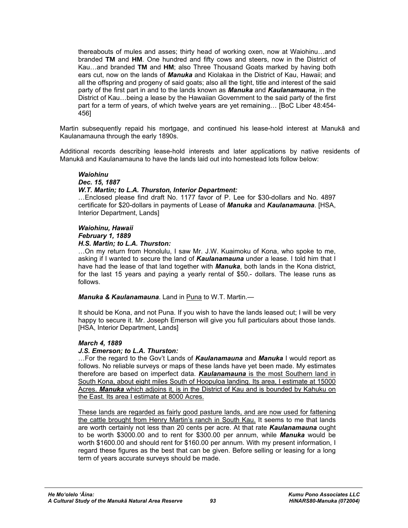thereabouts of mules and asses; thirty head of working oxen, now at Waiohinu…and branded **TM** and **HM**. One hundred and fifty cows and steers, now in the District of Kau…and branded **TM** and **HM**; also Three Thousand Goats marked by having both ears cut, now on the lands of *Manuka* and Kiolakaa in the District of Kau, Hawaii; and all the offspring and progeny of said goats; also all the tight, title and interest of the said party of the first part in and to the lands known as *Manuka* and *Kaulanamauna*, in the District of Kau…being a lease by the Hawaiian Government to the said party of the first part for a term of years, of which twelve years are yet remaining… [BoC Liber 48:454- 456]

Martin subsequently repaid his mortgage, and continued his lease-hold interest at Manukā and Kaulanamauna through the early 1890s.

Additional records describing lease-hold interests and later applications by native residents of Manukā and Kaulanamauna to have the lands laid out into homestead lots follow below:

## *Waiohinu*

## *Dec. 15, 1887*

#### *W.T. Martin; to L.A. Thurston, Interior Department:*

…Enclosed please find draft No. 1177 favor of P. Lee for \$30-dollars and No. 4897 certificate for \$20-dollars in payments of Lease of *Manuka* and *Kaulanamauna*. [HSA, Interior Department, Lands]

## *Waiohinu, Hawaii*

## *February 1, 1889*

#### *H.S. Martin; to L.A. Thurston:*

…On my return from Honolulu, I saw Mr. J.W. Kuaimoku of Kona, who spoke to me, asking if I wanted to secure the land of *Kaulanamauna* under a lease. I told him that I have had the lease of that land together with *Manuka*, both lands in the Kona district, for the last 15 years and paying a yearly rental of \$50.- dollars. The lease runs as follows.

*Manuka & Kaulanamauna*. Land in Puna to W.T. Martin.—

It should be Kona, and not Puna. If you wish to have the lands leased out; I will be very happy to secure it. Mr. Joseph Emerson will give you full particulars about those lands. [HSA, Interior Department, Lands]

## *March 4, 1889*

## *J.S. Emerson; to L.A. Thurston:*

…For the regard to the Gov't Lands of *Kaulanamauna* and *Manuka* I would report as follows. No reliable surveys or maps of these lands have yet been made. My estimates therefore are based on imperfect data. *Kaulanamauna* is the most Southern land in South Kona, about eight miles South of Hoopuloa landing. Its area, I estimate at 15000 Acres. *Manuka* which adjoins it, is in the District of Kau and is bounded by Kahuku on the East. Its area I estimate at 8000 Acres.

These lands are regarded as fairly good pasture lands, and are now used for fattening the cattle brought from Henry Martin's ranch in South Kau. It seems to me that lands are worth certainly not less than 20 cents per acre. At that rate *Kaulanamauna* ought to be worth \$3000.00 and to rent for \$300.00 per annum, while *Manuka* would be worth \$1600.00 and should rent for \$160.00 per annum. With my present information, I regard these figures as the best that can be given. Before selling or leasing for a long term of years accurate surveys should be made.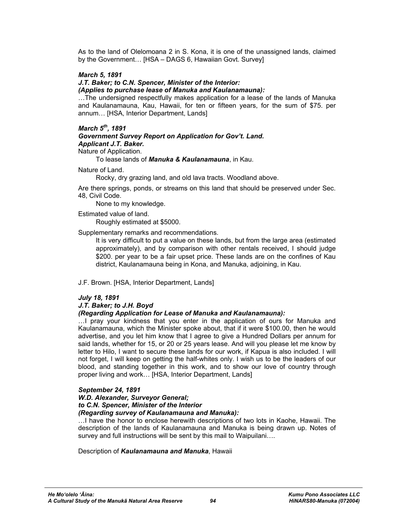As to the land of Olelomoana 2 in S. Kona, it is one of the unassigned lands, claimed by the Government… [HSA – DAGS 6, Hawaiian Govt. Survey]

## *March 5, 1891*

#### *J.T. Baker; to C.N. Spencer, Minister of the Interior:*

*(Applies to purchase lease of Manuka and Kaulanamauna):* 

…The undersigned respectfully makes application for a lease of the lands of Manuka and Kaulanamauna, Kau, Hawaii, for ten or fifteen years, for the sum of \$75. per annum… [HSA, Interior Department, Lands]

### *March 5th, 1891*

*Government Survey Report on Application for Gov't. Land. Applicant J.T. Baker.* 

Nature of Application.

To lease lands of *Manuka & Kaulanamauna*, in Kau.

Nature of Land.

Rocky, dry grazing land, and old lava tracts. Woodland above.

Are there springs, ponds, or streams on this land that should be preserved under Sec. 48, Civil Code.

None to my knowledge.

Estimated value of land.

Roughly estimated at \$5000.

Supplementary remarks and recommendations.

 It is very difficult to put a value on these lands, but from the large area (estimated approximately), and by comparison with other rentals received, I should judge \$200. per year to be a fair upset price. These lands are on the confines of Kau district, Kaulanamauna being in Kona, and Manuka, adjoining, in Kau.

#### J.F. Brown. [HSA, Interior Department, Lands]

## *July 18, 1891*

## *J.T. Baker; to J.H. Boyd*

## *(Regarding Application for Lease of Manuka and Kaulanamauna):*

…I pray your kindness that you enter in the application of ours for Manuka and Kaulanamauna, which the Minister spoke about, that if it were \$100.00, then he would advertise, and you let him know that I agree to give a Hundred Dollars per annum for said lands, whether for 15, or 20 or 25 years lease. And will you please let me know by letter to Hilo, I want to secure these lands for our work, if Kapua is also included. I will not forget, I will keep on getting the half-whites only. I wish us to be the leaders of our blood, and standing together in this work, and to show our love of country through proper living and work… [HSA, Interior Department, Lands]

#### *September 24, 1891*

#### *W.D. Alexander, Surveyor General; to C.N. Spencer, Minister of the Interior (Regarding survey of Kaulanamauna and Manuka):*

…I have the honor to enclose herewith descriptions of two lots in Kaohe, Hawaii. The description of the lands of Kaulanamauna and Manuka is being drawn up. Notes of survey and full instructions will be sent by this mail to Waipuilani....

Description of *Kaulanamauna and Manuka*, Hawaii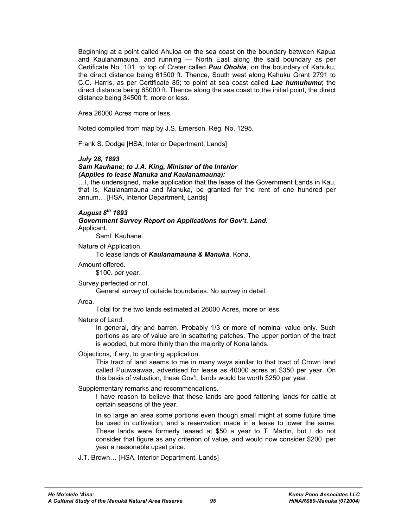Beginning at a point called Ahuloa on the sea coast on the boundary between Kapua and Kaulanamauna, and running — North East along the said boundary as per Certificate No. 101. to top of Crater called *Puu Ohohia*, on the boundary of Kahuku, the direct distance being 61500 ft. Thence, South west along Kahuku Grant 2791 to C.C. Harris, as per Certificate 85; to point at sea coast called *Lae humuhumu*; the direct distance being 65000 ft. Thence along the sea coast to the initial point, the direct distance being 34500 ft. more or less.

Area 26000 Acres more or less.

Noted compiled from map by J.S. Emerson. Reg. No. 1295.

Frank S. Dodge [HSA, Interior Department, Lands]

#### *July 28, 1893*

#### *Sam Kauhane; to J.A. King, Minister of the Interior (Applies to lease Manuka and Kaulanamauna):*

…I, the undersigned, make application that the lease of the Government Lands in Kau, that is, Kaulanamauna and Manuka, be granted for the rent of one hundred per annum… [HSA, Interior Department, Lands]

## *August 8th 1893*

*Government Survey Report on Applications for Gov't. Land.*  Applicant.

Saml. Kauhane.

Nature of Application.

To lease lands of *Kaulanamauna & Manuka*, Kona.

Amount offered.

\$100. per year.

Survey perfected or not.

General survey of outside boundaries. No survey in detail.

Area.

Total for the two lands estimated at 26000 Acres, more or less.

#### Nature of Land.

 In general, dry and barren. Probably 1/3 or more of nominal value only. Such portions as are of value are in scattering patches. The upper portion of the tract is wooded, but more thinly than the majority of Kona lands.

Objections, if any, to granting application.

 This tract of land seems to me in many ways similar to that tract of Crown land called Puuwaawaa, advertised for lease as 40000 acres at \$350 per year. On this basis of valuation, these Gov't. lands would be worth \$250 per year.

Supplementary remarks and recommendations.

 I have reason to believe that these lands are good fattening lands for cattle at certain seasons of the year.

 In so large an area some portions even though small might at some future time be used in cultivation, and a reservation made in a lease to lower the same. These lands were formerly leased at \$50 a year to T. Martin, but I do not consider that figure as any criterion of value, and would now consider \$200. per year a reasonable upset price.

J.T. Brown… [HSA, Interior Department, Lands]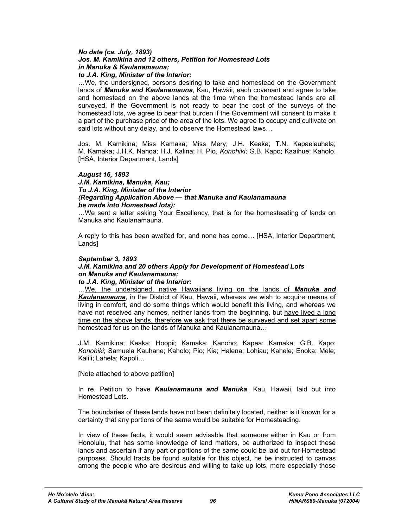#### *No date (ca. July, 1893) Jos. M. Kamikina and 12 others, Petition for Homestead Lots in Manuka & Kaulanamauna; to J.A. King, Minister of the Interior:*

…We, the undersigned, persons desiring to take and homestead on the Government lands of *Manuka and Kaulanamauna*, Kau, Hawaii, each covenant and agree to take and homestead on the above lands at the time when the homestead lands are all surveyed, if the Government is not ready to bear the cost of the surveys of the homestead lots, we agree to bear that burden if the Government will consent to make it a part of the purchase price of the area of the lots. We agree to occupy and cultivate on said lots without any delay, and to observe the Homestead laws…

Jos. M. Kamikina; Miss Kamaka; Miss Mery; J.H. Keaka; T.N. Kapaelauhala; M. Kamaka; J.H.K. Nahoa; H.J. Kalina; H. Pio, *Konohiki*; G.B. Kapo; Kaaihue; Kaholo. [HSA, Interior Department, Lands]

#### *August 16, 1893*

*J.M. Kamikina, Manuka, Kau; To J.A. King, Minister of the Interior (Regarding Application Above — that Manuka and Kaulanamauna be made into Homestead lots):* 

…We sent a letter asking Your Excellency, that is for the homesteading of lands on Manuka and Kaulanamauna.

A reply to this has been awaited for, and none has come… [HSA, Interior Department, Lands]

#### *September 3, 1893*

## *J.M. Kamikina and 20 others Apply for Development of Homestead Lots on Manuka and Kaulanamauna;*

## *to J.A. King, Minister of the Interior:*

…We, the undersigned, native Hawaiians living on the lands of *Manuka and Kaulanamauna*, in the District of Kau, Hawaii, whereas we wish to acquire means of living in comfort, and do some things which would benefit this living, and whereas we have not received any homes, neither lands from the beginning, but have lived a long time on the above lands, therefore we ask that there be surveyed and set apart some homestead for us on the lands of Manuka and Kaulanamauna…

J.M. Kamikina; Keaka; Hoopii; Kamaka; Kanoho; Kapea; Kamaka; G.B. Kapo; *Konohiki*; Samuela Kauhane; Kaholo; Pio; Kia; Halena; Lohiau; Kahele; Enoka; Mele; Kalili; Lahela; Kapoli…

[Note attached to above petition]

In re. Petition to have *Kaulanamauna and Manuka*, Kau, Hawaii, laid out into Homestead Lots.

The boundaries of these lands have not been definitely located, neither is it known for a certainty that any portions of the same would be suitable for Homesteading.

In view of these facts, it would seem advisable that someone either in Kau or from Honolulu, that has some knowledge of land matters, be authorized to inspect these lands and ascertain if any part or portions of the same could be laid out for Homestead purposes. Should tracts be found suitable for this object, he be instructed to canvas among the people who are desirous and willing to take up lots, more especially those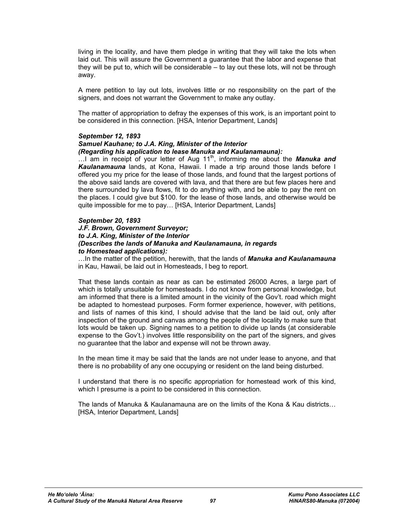living in the locality, and have them pledge in writing that they will take the lots when laid out. This will assure the Government a guarantee that the labor and expense that they will be put to, which will be considerable – to lay out these lots, will not be through away.

A mere petition to lay out lots, involves little or no responsibility on the part of the signers, and does not warrant the Government to make any outlay.

The matter of appropriation to defray the expenses of this work, is an important point to be considered in this connection. [HSA, Interior Department, Lands]

#### *September 12, 1893*

## *Samuel Kauhane; to J.A. King, Minister of the Interior*

#### *(Regarding his application to lease Manuka and Kaulanamauna):*

...I am in receipt of your letter of Aug 11<sup>th</sup>, informing me about the **Manuka and** *Kaulanamauna* lands, at Kona, Hawaii. I made a trip around those lands before I offered you my price for the lease of those lands, and found that the largest portions of the above said lands are covered with lava, and that there are but few places here and there surrounded by lava flows, fit to do anything with, and be able to pay the rent on the places. I could give but \$100. for the lease of those lands, and otherwise would be quite impossible for me to pay… [HSA, Interior Department, Lands]

#### *September 20, 1893*

#### *J.F. Brown, Government Surveyor; to J.A. King, Minister of the Interior (Describes the lands of Manuka and Kaulanamauna, in regards to Homestead applications):*

…In the matter of the petition, herewith, that the lands of *Manuka and Kaulanamauna* in Kau, Hawaii, be laid out in Homesteads, I beg to report.

That these lands contain as near as can be estimated 26000 Acres, a large part of which is totally unsuitable for homesteads. I do not know from personal knowledge, but am informed that there is a limited amount in the vicinity of the Gov't. road which might be adapted to homestead purposes. Form former experience, however, with petitions, and lists of names of this kind, I should advise that the land be laid out, only after inspection of the ground and canvas among the people of the locality to make sure that lots would be taken up. Signing names to a petition to divide up lands (at considerable expense to the Gov't.) involves little responsibility on the part of the signers, and gives no guarantee that the labor and expense will not be thrown away.

In the mean time it may be said that the lands are not under lease to anyone, and that there is no probability of any one occupying or resident on the land being disturbed.

I understand that there is no specific appropriation for homestead work of this kind, which I presume is a point to be considered in this connection.

The lands of Manuka & Kaulanamauna are on the limits of the Kona & Kau districts… [HSA, Interior Department, Lands]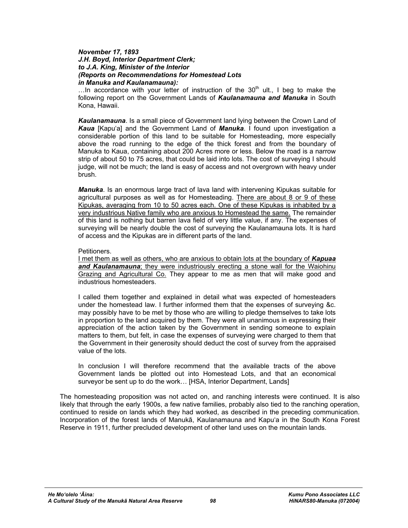#### *November 17, 1893 J.H. Boyd, Interior Department Clerk; to J.A. King, Minister of the Interior (Reports on Recommendations for Homestead Lots in Manuka and Kaulanamauna):*

...In accordance with your letter of instruction of the  $30<sup>th</sup>$  ult., I beg to make the following report on the Government Lands of *Kaulanamauna and Manuka* in South Kona, Hawaii.

*Kaulanamauna*. Is a small piece of Government land lying between the Crown Land of *Kaua* [Kapu'a] and the Government Land of *Manuka*. I found upon investigation a considerable portion of this land to be suitable for Homesteading, more especially above the road running to the edge of the thick forest and from the boundary of Manuka to Kaua, containing about 200 Acres more or less. Below the road is a narrow strip of about 50 to 75 acres, that could be laid into lots. The cost of surveying I should judge, will not be much; the land is easy of access and not overgrown with heavy under brush.

*Manuka*. Is an enormous large tract of lava land with intervening Kipukas suitable for agricultural purposes as well as for Homesteading. There are about 8 or 9 of these Kipukas, averaging from 10 to 50 acres each. One of these Kipukas is inhabited by a very industrious Native family who are anxious to Homestead the same. The remainder of this land is nothing but barren lava field of very little value, if any. The expenses of surveying will be nearly double the cost of surveying the Kaulanamauna lots. It is hard of access and the Kipukas are in different parts of the land.

#### Petitioners.

I met them as well as others, who are anxious to obtain lots at the boundary of *Kapuaa and Kaulanamauna*; they were industriously erecting a stone wall for the Waiohinu Grazing and Agricultural Co. They appear to me as men that will make good and industrious homesteaders.

I called them together and explained in detail what was expected of homesteaders under the homestead law. I further informed them that the expenses of surveying &c. may possibly have to be met by those who are willing to pledge themselves to take lots in proportion to the land acquired by them. They were all unanimous in expressing their appreciation of the action taken by the Government in sending someone to explain matters to them, but felt, in case the expenses of surveying were charged to them that the Government in their generosity should deduct the cost of survey from the appraised value of the lots.

In conclusion I will therefore recommend that the available tracts of the above Government lands be plotted out into Homestead Lots, and that an economical surveyor be sent up to do the work… [HSA, Interior Department, Lands]

The homesteading proposition was not acted on, and ranching interests were continued. It is also likely that through the early 1900s, a few native families, probably also tied to the ranching operation, continued to reside on lands which they had worked, as described in the preceding communication. Incorporation of the forest lands of Manukā, Kaulanamauna and Kapu'a in the South Kona Forest Reserve in 1911, further precluded development of other land uses on the mountain lands.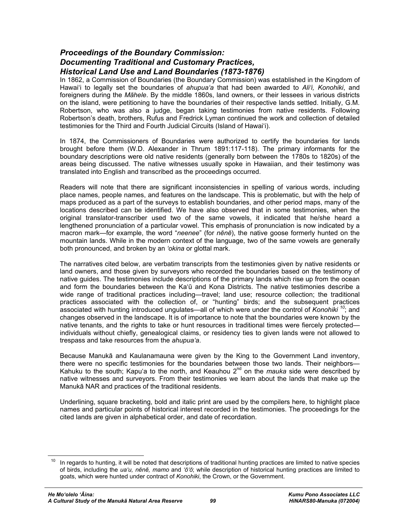## *Proceedings of the Boundary Commission: Documenting Traditional and Customary Practices, Historical Land Use and Land Boundaries (1873-1876)*

In 1862, a Commission of Boundaries (the Boundary Commission) was established in the Kingdom of Hawai'i to legally set the boundaries of *ahupua'a* that had been awarded to *Ali'i, Konohiki*, and foreigners during the *Māhele*. By the middle 1860s, land owners, or their lessees in various districts on the island, were petitioning to have the boundaries of their respective lands settled. Initially, G.M. Robertson, who was also a judge, began taking testimonies from native residents. Following Robertson's death, brothers, Rufus and Fredrick Lyman continued the work and collection of detailed testimonies for the Third and Fourth Judicial Circuits (Island of Hawai'i).

In 1874, the Commissioners of Boundaries were authorized to certify the boundaries for lands brought before them (W.D. Alexander in Thrum 1891:117-118). The primary informants for the boundary descriptions were old native residents (generally born between the 1780s to 1820s) of the areas being discussed. The native witnesses usually spoke in Hawaiian, and their testimony was translated into English and transcribed as the proceedings occurred.

Readers will note that there are significant inconsistencies in spelling of various words, including place names, people names, and features on the landscape. This is problematic, but with the help of maps produced as a part of the surveys to establish boundaries, and other period maps, many of the locations described can be identified. We have also observed that in some testimonies, when the original translator-transcriber used two of the same vowels, it indicated that he/she heard a lengthened pronunciation of a particular vowel. This emphasis of pronunciation is now indicated by a macron mark—for example, the word "*neenee*" (for *nēnē*), the native goose formerly hunted on the mountain lands. While in the modern context of the language, two of the same vowels are generally both pronounced, and broken by an *'okina* or glottal mark.

The narratives cited below, are verbatim transcripts from the testimonies given by native residents or land owners, and those given by surveyors who recorded the boundaries based on the testimony of native guides. The testimonies include descriptions of the primary lands which rise up from the ocean and form the boundaries between the Ka'ū and Kona Districts. The native testimonies describe a wide range of traditional practices including—travel; land use; resource collection; the traditional practices associated with the collection of, or "hunting" birds; and the subsequent practices associated with hunting introduced ungulates—all of which were under the control of *Konohiki <sup>10</sup>*; and changes observed in the landscape. It is of importance to note that the boundaries were known by the native tenants, and the rights to take or hunt resources in traditional times were fiercely protected individuals without chiefly, genealogical claims, or residency ties to given lands were not allowed to trespass and take resources from the *ahupua'a*.

Because Manukā and Kaulanamauna were given by the King to the Government Land inventory, there were no specific testimonies for the boundaries between those two lands. Their neighbors— Kahuku to the south; Kapu'a to the north, and Keauhou 2<sup>nd</sup> on the *mauka* side were described by native witnesses and surveyors. From their testimonies we learn about the lands that make up the Manukā NAR and practices of the traditional residents.

Underlining, square bracketing, bold and italic print are used by the compilers here, to highlight place names and particular points of historical interest recorded in the testimonies. The proceedings for the cited lands are given in alphabetical order, and date of recordation.

 $\overline{a}$ 

In regards to hunting, it will be noted that descriptions of traditional hunting practices are limited to native species of birds, including the *ua'u, nēnē, mamo* and *'ō'ō*; while description of historical hunting practices are limited to goats, which were hunted under contract of *Konohiki*, the Crown, or the Government.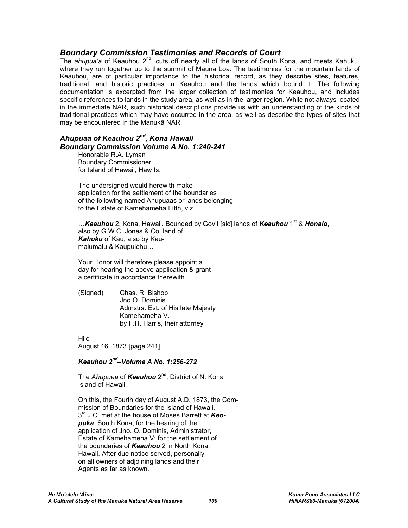## *Boundary Commission Testimonies and Records of Court*

The *ahupua'a* of Keauhou 2nd, cuts off nearly all of the lands of South Kona, and meets Kahuku, where they run together up to the summit of Mauna Loa. The testimonies for the mountain lands of Keauhou, are of particular importance to the historical record, as they describe sites, features, traditional, and historic practices in Keauhou and the lands which bound it. The following documentation is excerpted from the larger collection of testimonies for Keauhou, and includes specific references to lands in the study area, as well as in the larger region. While not always located in the immediate NAR, such historical descriptions provide us with an understanding of the kinds of traditional practices which may have occurred in the area, as well as describe the types of sites that may be encountered in the Manukā NAR.

## *Ahupuaa of Keauhou 2nd, Kona Hawaii Boundary Commission Volume A No. 1:240-241*

Honorable R.A. Lyman Boundary Commissioner for Island of Hawaii, Haw Is.

The undersigned would herewith make application for the settlement of the boundaries of the following named Ahupuaas or lands belonging to the Estate of Kamehameha Fifth, viz.

…*Keauhou* 2, Kona, Hawaii. Bounded by Gov't [sic] lands of *Keauhou* 1<sup>st</sup> & *Honalo*, also by G.W.C. Jones & Co. land of *Kahuku* of Kau, also by Kaumalumalu & Kaupulehu…

Your Honor will therefore please appoint a day for hearing the above application & grant a certificate in accordance therewith.

(Signed) Chas. R. Bishop Jno O. Dominis Admstrs. Est. of His late Majesty Kamehameha V. by F.H. Harris, their attorney

Hilo

August 16, 1873 [page 241]

## *Keauhou 2nd–Volume A No. 1:256-272*

The *Ahupuaa* of *Keauhou* 2nd, District of N. Kona Island of Hawaii

On this, the Fourth day of August A.D. 1873, the Commission of Boundaries for the Island of Hawaii, 3rd J.C. met at the house of Moses Barrett at *Keopuka*, South Kona, for the hearing of the application of Jno. O. Dominis, Administrator, Estate of Kamehameha V; for the settlement of the boundaries of *Keauhou* 2 in North Kona, Hawaii. After due notice served, personally on all owners of adjoining lands and their Agents as far as known.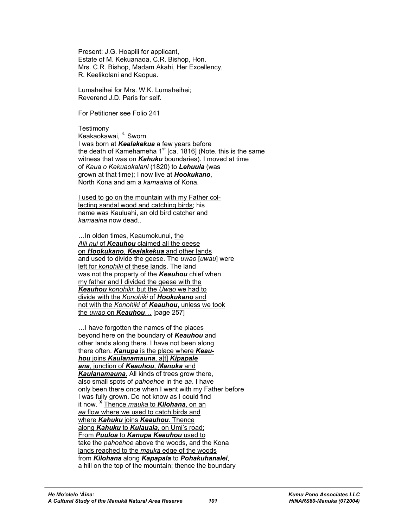Present: J.G. Hoapili for applicant, Estate of M. Kekuanaoa, C.R. Bishop, Hon. Mrs. C.R. Bishop, Madam Akahi, Her Excellency, R. Keelikolani and Kaopua.

Lumaheihei for Mrs. W.K. Lumaheihei; Reverend J.D. Paris for self.

For Petitioner see Folio 241

**Testimony** Keakaokawai, K. Sworn I was born at *Kealakekua* a few years before the death of Kamehameha  $1<sup>st</sup>$  [ca. 1816] (Note. this is the same witness that was on *Kahuku* boundaries). I moved at time of *Kaua o Kekuaokalani* (1820) to *Lehuula* (was grown at that time); I now live at *Hookukano*, North Kona and am a *kamaaina* of Kona.

I used to go on the mountain with my Father collecting sandal wood and catching birds; his name was Kauluahi, an old bird catcher and *kamaaina* now dead..

…In olden times, Keaumokunui, the *Alii nui* of *Keauhou* claimed all the geese on *Hookukano*, *Kealakekua* and other lands and used to divide the geese. The *uwao* [*uwau*] were left for *konohiki* of these lands. The land was not the property of the *Keauhou* chief when my father and I divided the geese with the *Keauhou konohiki*; but the *Uwao* we had to divide with the *Konohiki* of *Hookukano* and not with the *Konohiki* of *Keauhou*, unless we took the *uwao* on *Keauhou*… [page 257]

…I have forgotten the names of the places beyond here on the boundary of *Keauhou* and other lands along there. I have not been along there often. *Kanupa* is the place where *Keauhou* joins *Kaulanamauna*, a[t] *Kipapale ana*, junction of *Keauhou*, *Manuka* and *Kaulanamauna*. All kinds of trees grow there, also small spots of *pahoehoe* in the *aa*. I have only been there once when I went with my Father before I was fully grown. Do not know as I could find it now. **<sup>X</sup>** Thence *mauka* to *Kilohana*, on an *aa* flow where we used to catch birds and where *Kahuku* joins *Keauhou*. Thence along *Kahuku* to *Kulauala*, on Umi's road; From *Puuloa* to *Kanupa Keauhou* used to take the *pahoehoe* above the woods, and the Kona lands reached to the *mauka* edge of the woods from *Kilohana* along *Kapapala* to *Pohakuhanalei*, a hill on the top of the mountain; thence the boundary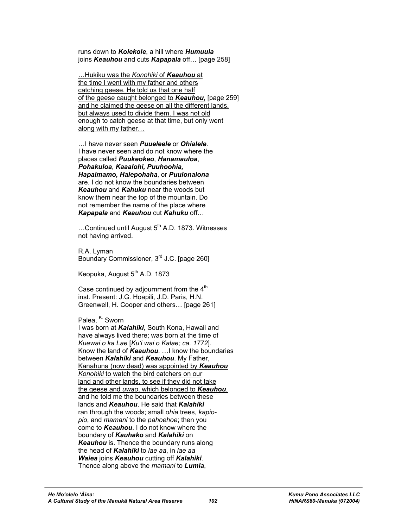runs down to *Kolekole*, a hill where *Humuula* joins *Keauhou* and cuts *Kapapala* off… [page 258]

…Hukiku was the *Konohiki* of *Keauhou* at the time I went with my father and others catching geese. He told us that one half of the geese caught belonged to *Keauhou*, [page 259] and he claimed the geese on all the different lands, but always used to divide them. I was not old enough to catch geese at that time, but only went along with my father…

…I have never seen *Puueleele* or *Ohialele*. I have never seen and do not know where the places called *Puukeokeo*, *Hanamauloa*, *Pohakuloa*, *Kaaalohi, Puuhoohia, Hapaimamo, Halepohaha*, or *Puulonalona* are. I do not know the boundaries between *Keauhou* and *Kahuku* near the woods but know them near the top of the mountain. Do not remember the name of the place where *Kapapala* and *Keauhou* cut *Kahuku* off…

 $...$ Continued until August  $5<sup>th</sup>$  A.D. 1873. Witnesses not having arrived.

R.A. Lyman Boundary Commissioner, 3<sup>rd</sup> J.C. [page 260]

Keopuka, August 5<sup>th</sup> A.D. 1873

Case continued by adjournment from the  $4<sup>th</sup>$ inst. Present: J.G. Hoapili, J.D. Paris, H.N. Greenwell, H. Cooper and others… [page 261]

Palea, <sup>K.</sup> Sworn

I was born at *Kalahiki*, South Kona, Hawaii and have always lived there; was born at the time of *Kuewai o ka Lae* [*Ku'i wai o Kalae; ca. 1772*]. Know the land of *Keauhou*. …I know the boundaries between *Kalahiki* and *Keauhou*. My Father, Kanahuna (now dead) was appointed by *Keauhou Konohiki* to watch the bird catchers on our land and other lands, to see if they did not take the geese and *uwao*, which belonged to *Keauhou*, and he told me the boundaries between these lands and *Keauhou*. He said that *Kalahiki* ran through the woods; small *ohia* trees, *kapiopio*, and *mamani* to the *pahoehoe*; then you come to *Keauhou*. I do not know where the boundary of *Kauhako* and *Kalahiki* on *Keauhou* is. Thence the boundary runs along the head of *Kalahiki* to *lae aa*, in *lae aa Waiea* joins *Keauhou* cutting off *Kalahiki*. Thence along above the *mamani* to *Lumia*,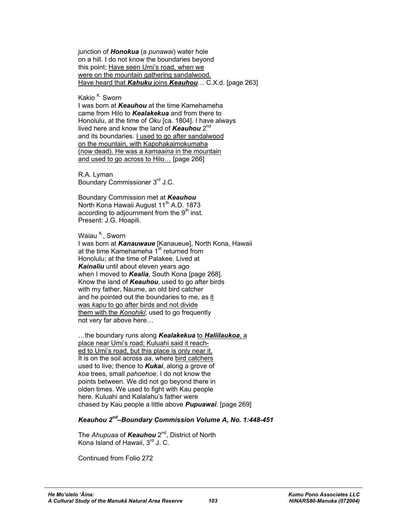junction of *Honokua* (a *punawai*) water hole on a hill. I do not know the boundaries beyond this point; Have seen Umi's road, when we were on the mountain gathering sandalwood. Have heard that *Kahuku* joins *Keauhou*… C.X.d. [page 263]

Kakio <sup>K.</sup> Sworn

I was born at *Keauhou* at the time Kamehameha came from Hilo to *Kealakekua* and from there to Honolulu, at the time of *Oku* [ca. 1804]. I have always lived here and know the land of *Keauhou* 2nd and its boundaries. I used to go after sandalwood on the mountain, with Kapohakaimokumaha (now dead). He was a *kamaaina* in the mountain and used to go across to Hilo… [page 266]

R.A. Lyman Boundary Commissioner 3rd J.C.

Boundary Commission met at *Keauhou* North Kona Hawaii August 11<sup>th</sup> A.D. 1873 according to adjournment from the  $9<sup>th</sup>$  inst. Present: J.G. Hoapili.

Waiau K., Sworn

I was born at *Kanauwaue* [Kanaueue], North Kona, Hawaii at the time Kamehameha 1<sup>st</sup> returned from Honolulu; at the time of Palakee. Lived at *Kainaliu* until about eleven years ago when I moved to *Kealia*, South Kona [page 268]. Know the land of *Keauhou*, used to go after birds with my father, Naume, an old bird catcher and he pointed out the boundaries to me, as it was *kapu* to go after birds and not divide them with the *Konohiki*; used to go frequently not very far above here…

…the boundary runs along *Kealakekua* to *Haliilaukoa*, a place near Umi's road; Kuluahi said it reached to Umi's road, but this place is only near it. It is on the soil across *aa*, where bird catchers used to live; thence to *Kukai*, along a grove of *koa* trees, small *pahoehoe*. I do not know the points between. We did not go beyond there in olden times. We used to fight with Kau people here. Kuluahi and Kalalahu's father were chased by Kau people a little above *Pupuawai*. [page 269]

## *Keauhou 2nd–Boundary Commission Volume A, No. 1:448-451*

The *Ahupuaa* of *Keauhou* 2<sup>nd</sup>, District of North Kona Island of Hawaii, 3<sup>rd</sup> J. C.

Continued from Folio 272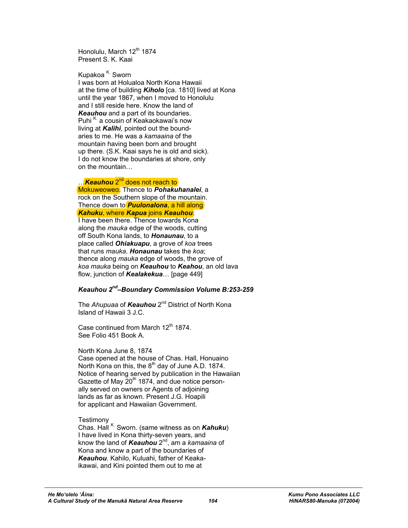Honolulu, March 12<sup>th</sup> 1874 Present S. K. Kaai

Kupakoa <sup>K.</sup> Sworn

I was born at Holualoa North Kona Hawaii at the time of building *Kiholo* [ca. 1810] lived at Kona until the year 1867, when I moved to Honolulu and I still reside here. Know the land of *Keauhou* and a part of its boundaries. Puhi<sup>K.</sup> a cousin of Keakaokawai's now living at *Kalihi*, pointed out the boundaries to me. He was a *kamaaina* of the mountain having been born and brought up there. (S.K. Kaai says he is old and sick). I do not know the boundaries at shore, only on the mountain…

## …*Keauhou* 2nd does not reach to

Mokuweoweo. Thence to *Pohakuhanalei*, a rock on the Southern slope of the mountain. Thence down to *Puulonalona*, a hill along *Kahuku*, where *Kapua* joins *Keauhou*. I have been there. Thence towards Kona along the *mauka* edge of the woods, cutting off South Kona lands, to *Honaunau*, to a place called *Ohiakuapu*, a grove of *koa* trees that runs *mauka*. *Honaunau* takes the *koa*; thence along *mauka* edge of woods, the grove of *koa mauka* being on *Keauhou* to *Keahou*, an old lava flow, junction of *Kealakekua*… [page 449]

## *Keauhou 2nd–Boundary Commission Volume B:253-259*

The *Ahupuaa* of *Keauhou* 2nd District of North Kona Island of Hawaii 3 J.C.

Case continued from March  $12<sup>th</sup> 1874$ . See Folio 451 Book A.

#### North Kona June 8, 1874

Case opened at the house of Chas. Hall, Honuaino North Kona on this, the 8<sup>th</sup> day of June A.D. 1874. Notice of hearing served by publication in the Hawaiian Gazette of May 20<sup>th</sup> 1874, and due notice personally served on owners or Agents of adjoining lands as far as known. Present J.G. Hoapili for applicant and Hawaiian Government.

Testimony

Chas. Hall K. Sworn. (same witness as on *Kahuku*) I have lived in Kona thirty-seven years, and know the land of *Keauhou* 2nd, am a *kamaaina* of Kona and know a part of the boundaries of *Keauhou*. Kahilo, Kuluahi, father of Keakaikawai, and Kini pointed them out to me at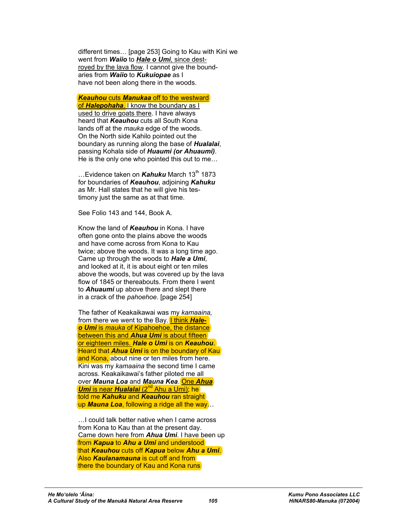different times… [page 253] Going to Kau with Kini we went from *Waiio* to *Hale o Umi*, since destroyed by the lava flow. I cannot give the boundaries from *Waiio* to *Kukuiopae* as I have not been along there in the woods.

*Keauhou* cuts *Manukaa* off to the westward of *Halepohaha*. I know the boundary as I used to drive goats there. I have always heard that *Keauhou* cuts all South Kona lands off at the *mauka* edge of the woods. On the North side Kahilo pointed out the boundary as running along the base of *Hualalai*, passing Kohala side of *Huaumi (or Ahuaumi)*. He is the only one who pointed this out to me…

...Evidence taken on **Kahuku** March 13<sup>th</sup> 1873 for boundaries of *Keauhou*, adjoining *Kahuku* as Mr. Hall states that he will give his testimony just the same as at that time.

See Folio 143 and 144, Book A.

Know the land of *Keauhou* in Kona. I have often gone onto the plains above the woods and have come across from Kona to Kau twice; above the woods. It was a long time ago. Came up through the woods to *Hale a Umi*, and looked at it, it is about eight or ten miles above the woods, but was covered up by the lava flow of 1845 or thereabouts. From there I went to *Ahuaumi* up above there and slept there in a crack of the *pahoehoe*. [page 254]

The father of Keakaikawai was my *kamaaina,* from there we went to the Bay. I think *Haleo Umi* is *mauka* of Kipahoehoe, the distance between this and *Ahua Umi* is about fifteen or eighteen miles. *Hale o Umi* is on *Keauhou*. Heard that *Ahua Umi* is on the boundary of Kau and Kona, about nine or ten miles from here. Kini was my *kamaaina* the second time I came across. Keakaikawai's father piloted me all over *Mauna Loa* and *Mauna Kea*. One *Ahua Umi* is near *Hualalai* (2<sup>nd</sup> Ahu a Umi); he told me *Kahuku* and *Keauhou* ran straight up *Mauna Loa*, following a ridge all the way…

…I could talk better native when I came across from Kona to Kau than at the present day. Came down here from *Ahua Umi*. I have been up from *Kapua* to *Ahu a Umi* and understood that *Keauhou* cuts off *Kapua* below *Ahu a Umi*. Also *Kaulanamauna* is cut off and from there the boundary of Kau and Kona runs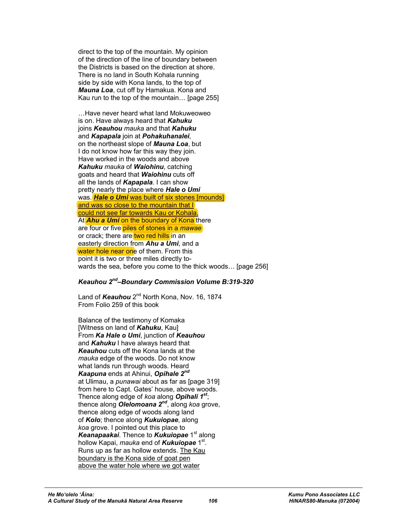direct to the top of the mountain. My opinion of the direction of the line of boundary between the Districts is based on the direction at shore. There is no land in South Kohala running side by side with Kona lands, to the top of *Mauna Loa*, cut off by Hamakua. Kona and Kau run to the top of the mountain… [page 255]

…Have never heard what land Mokuweoweo is on. Have always heard that *Kahuku* joins *Keauhou mauka* and that *Kahuku* and *Kapapala* join at *Pohakuhanalei*, on the northeast slope of *Mauna Loa*, but I do not know how far this way they join. Have worked in the woods and above *Kahuku mauka* of *Waiohinu*, catching goats and heard that *Waiohinu* cuts off all the lands of *Kapapala*. I can show pretty nearly the place where *Hale o Umi* was. **Hale o Umi** was built of six stones [mounds] and was so close to the mountain that I could not see far towards Kau or Kohala. At **Ahu a Umi** on the boundary of Kona there are four or five piles of stones in a *mawae* or crack; there are two red hills in an easterly direction from *Ahu a Umi*, and a water hole near one of them. From this point it is two or three miles directly towards the sea, before you come to the thick woods… [page 256]

## *Keauhou 2nd–Boundary Commission Volume B:319-320*

Land of *Keauhou* 2<sup>nd</sup> North Kona, Nov. 16, 1874 From Folio 259 of this book

Balance of the testimony of Komaka [Witness on land of *Kahuku*, Kau] From *Ka Hale o Umi*, junction of *Keauhou* and *Kahuku* I have always heard that *Keauhou* cuts off the Kona lands at the *mauka* edge of the woods. Do not know what lands run through woods. Heard *Kaapuna* ends at Ahinui, *Opihale 2nd* at Ulimau, a *punawai* about as far as [page 319] from here to Capt. Gates' house, above woods. Thence along edge of *koa* along *Opihali 1st*; thence along *Olelomoana 2nd*, along *koa* grove, thence along edge of woods along land of *Kolo*; thence along *Kukuiopae*, along *koa* grove. I pointed out this place to Keanapaakai. Thence to *Kukuiopae* 1<sup>st</sup> along hollow Kapai, *mauka* end of **Kukuiopae** 1<sup>st</sup>. Runs up as far as hollow extends. The Kau boundary is the Kona side of goat pen above the water hole where we got water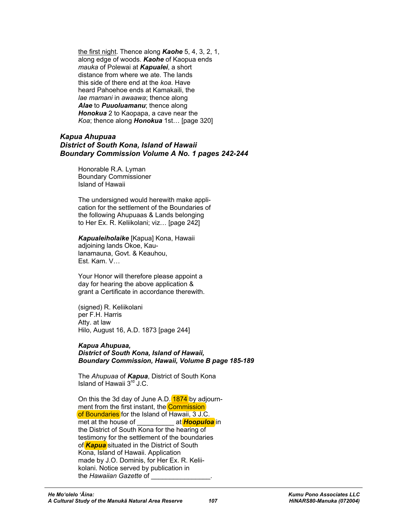the first night. Thence along *Kaohe* 5, 4, 3, 2, 1, along edge of woods. *Kaohe* of Kaopua ends *mauka* of Polewai at *Kapualei*, a short distance from where we ate. The lands this side of there end at the *koa*. Have heard Pahoehoe ends at Kamakaili, the *lae mamani* in *awaawa*; thence along *Alae* to *Puuoluamanu*; thence along *Honokua* 2 to Kaopapa, a cave near the *Koa*; thence along *Honokua* 1st… [page 320]

## *Kapua Ahupuaa District of South Kona, Island of Hawaii Boundary Commission Volume A No. 1 pages 242-244*

Honorable R.A. Lyman Boundary Commissioner Island of Hawaii

The undersigned would herewith make application for the settlement of the Boundaries of the following Ahupuaas & Lands belonging to Her Ex. R. Keliikolani; viz… [page 242]

*Kapualeiholaike* [Kapua] Kona, Hawaii adjoining lands Okoe, Kaulanamauna, Govt. & Keauhou, Est. Kam. V…

Your Honor will therefore please appoint a day for hearing the above application & grant a Certificate in accordance therewith.

(signed) R. Keliikolani per F.H. Harris Atty. at law Hilo, August 16, A.D. 1873 [page 244]

#### *Kapua Ahupuaa,*

*District of South Kona, Island of Hawaii, Boundary Commission, Hawaii, Volume B page 185-189* 

The *Ahupuaa* of *Kapua*, District of South Kona Island of Hawaii 3rd J.C.

On this the 3d day of June A.D. 1874 by adjournment from the first instant, the **Commission** of Boundaries for the Island of Hawaii, 3 J.C. met at the house of **Example 20** at **Hoopuloa** in the District of South Kona for the hearing of testimony for the settlement of the boundaries of *Kapua* situated in the District of South Kona, Island of Hawaii. Application made by J.O. Dominis, for Her Ex. R. Keliikolani. Notice served by publication in the *Hawaiian Gazette* of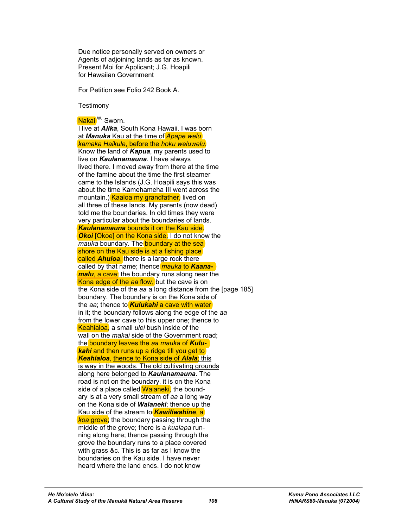Due notice personally served on owners or Agents of adjoining lands as far as known. Present Moi for Applicant; J.G. Hoapili for Hawaiian Government

For Petition see Folio 242 Book A.

**Testimony** 

Nakai<sup>W.</sup> Sworn.

I live at *Alika*, South Kona Hawaii. I was born at *Manuka* Kau at the time of *Apape welu kamaka Haikule*, before the *hoku weluwelu*. Know the land of *Kapua*, my parents used to live on *Kaulanamauna*. I have always lived there. I moved away from there at the time of the famine about the time the first steamer came to the Islands (J.G. Hoapili says this was about the time Kamehameha III went across the mountain.) Kaaloa my grandfather, lived on all three of these lands. My parents (now dead) told me the boundaries. In old times they were very particular about the boundaries of lands. *Kaulanamauna* bounds it on the Kau side. *Okoi* [Okoe] on the Kona side. I do not know the *mauka* boundary. The **boundary at the sea** shore on the Kau side is at a fishing place called *Ahuloa*, there is a large rock there called by that name; thence *mauka* to *Kaanamalu*, a cave; the boundary runs along near the Kona edge of the *aa* flow, but the cave is on the Kona side of the *aa* a long distance from the [page 185] boundary. The boundary is on the Kona side of the *aa*; thence to *Kulukahi* a cave with water in it; the boundary follows along the edge of the *aa* from the lower cave to this upper one; thence to Keahialoa, a small *ulei* bush inside of the wall on the *makai* side of the Government road; the boundary leaves the *aa mauka* of *Kulukahi* and then runs up a ridge till you get to *Keahialoa*, thence to Kona side of *Alala*; this is way in the woods. The old cultivating grounds along here belonged to *Kaulanamauna*. The road is not on the boundary, it is on the Kona side of a place called Waianeki, the boundary is at a very small stream of *aa* a long way on the Kona side of *Waianeki*; thence up the Kau side of the stream to *Kawiliwahine*, a *koa* grove; the boundary passing through the middle of the grove; there is a *kualapa* running along here; thence passing through the grove the boundary runs to a place covered with grass &c. This is as far as I know the boundaries on the Kau side. I have never heard where the land ends. I do not know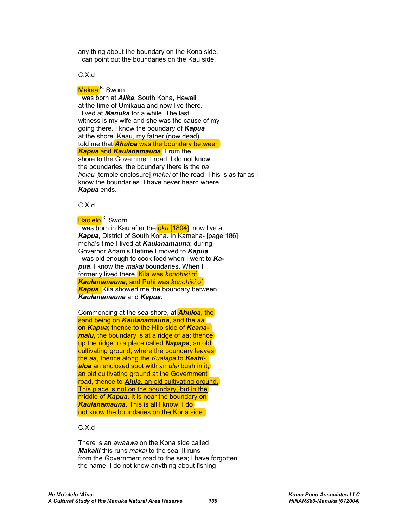any thing about the boundary on the Kona side. I can point out the boundaries on the Kau side.

C.X.d

## Makea<sup>K.</sup> Sworn

I was born at *Alika*, South Kona, Hawaii at the time of Umikaua and now live there. I lived at *Manuka* for a while. The last witness is my wife and she was the cause of my going there. I know the boundary of *Kapua* at the shore. Keau, my father (now dead), told me that *Ahuloa* was the boundary between *Kapua* and *Kaulanamauna*. From the shore to the Government road. I do not know

the boundaries; the boundary there is the *pa heiau* [temple enclosure] *makai* of the road. This is as far as I know the boundaries. I have never heard where *Kapua* ends.

C.X.d

## Haolelo<sup>K.</sup> Sworn

I was born in Kau after the *oku* [1804], now live at *Kapua*, District of South Kona. In Kameha- [page 186] meha's time I lived at *Kaulanamauna*; during Governor Adam's lifetime I moved to *Kapua*. I was old enough to cook food when I went to *Kapua*. I know the *makai* boundaries. When I formerly lived there, Kila was *konohiki* of *Kaulanamauna*, and Puhi was *konohiki* of *Kapua*. Kila showed me the boundary between *Kaulanamauna* and *Kapua*.

Commencing at the sea shore, at *Ahuloa*, the sand being on *Kaulanamauna*, and the *aa* on *Kapua*; thence to the Hilo side of *Keanamalu*, the boundary is at a ridge of *aa*; thence up the ridge to a place called *Napapa*, an old cultivating ground, where the boundary leaves the *aa*, thence along the *Kualapa* to *Keahialoa* an enclosed spot with an *ulei* bush in it; an old cultivating ground at the Government road, thence to *Alula*, an old cultivating ground. This place is not on the boundary, but in the middle of *Kapua*. It is near the boundary on *Kaulanamauna*. This is all I know. I do not know the boundaries on the Kona side.

## C.X.d

There is an *awaawa* on the Kona side called *Makalii* this runs *makai* to the sea. It runs from the Government road to the sea; I have forgotten the name. I do not know anything about fishing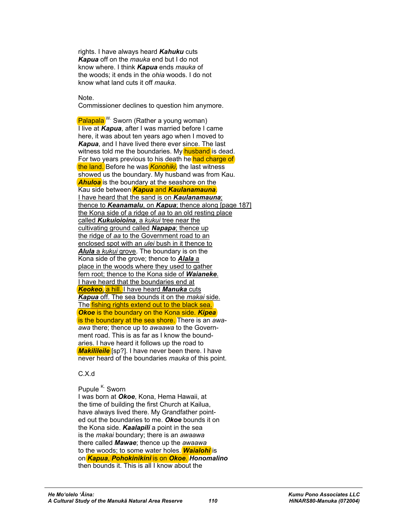rights. I have always heard *Kahuku* cuts *Kapua* off on the *mauka* end but I do not know where. I think *Kapua* ends *mauka* of the woods; it ends in the *ohia* woods. I do not know what land cuts it off *mauka*.

Note.

Commissioner declines to question him anymore.

Palapala<sup>W.</sup> Sworn (Rather a young woman) I live at *Kapua*, after I was married before I came here, it was about ten years ago when I moved to *Kapua*, and I have lived there ever since. The last witness told me the boundaries. My **husband** is dead. For two years previous to his death he had charge of the land. Before he was *Konohiki*, the last witness showed us the boundary. My husband was from Kau. *Ahuloa* is the boundary at the seashore on the Kau side between *Kapua* and *Kaulanamauna*. I have heard that the sand is on *Kaulanamauna*; thence to *Keanamalu*, on *Kapua*; thence along [page 187] the Kona side of a ridge of *aa* to an old resting place called *Kukuioioina*, a *kukui* tree near the cultivating ground called *Napapa*; thence up the ridge of *aa* to the Government road to an enclosed spot with an *ulei* bush in it thence to *Alula* a *kukui* grove. The boundary is on the Kona side of the grove; thence to *Alala* a place in the woods where they used to gather fern root; thence to the Kona side of *Waianeke*. I have heard that the boundaries end at *Keokeo*, a hill. I have heard *Manuka* cuts *Kapua* off. The sea bounds it on the *makai* side. The fishing rights extend out to the black sea. *Okoe* is the boundary on the Kona side. *Kipea* is the boundary at the sea shore. There is an *awaawa* there; thence up to *awaawa* to the Government road. This is as far as I know the boundaries. I have heard it follows up the road to *Makilileile* [sp?]. I have never been there. I have never heard of the boundaries *mauka* of this point.

## C.X.d

## Pupule <sup>K.</sup> Sworn

I was born at *Okoe*, Kona, Hema Hawaii, at the time of building the first Church at Kailua, have always lived there. My Grandfather pointed out the boundaries to me. *Okoe* bounds it on the Kona side. *Kaalapili* a point in the sea is the *makai* boundary; there is an *awaawa* there called *Mawae*; thence up the *awaawa* to the woods; to some water holes. *Waialohi* is on *Kapua*, *Pohokinikini* is on *Okoe*. *Honomalino* then bounds it. This is all I know about the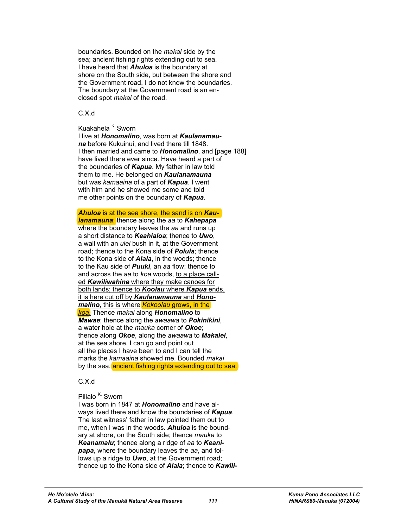boundaries. Bounded on the *makai* side by the sea; ancient fishing rights extending out to sea. I have heard that *Ahuloa* is the boundary at shore on the South side, but between the shore and the Government road, I do not know the boundaries. The boundary at the Government road is an enclosed spot *makai* of the road.

#### C.X.d

Kuakahela <sup>K.</sup> Sworn I live at *Honomalino*, was born at *Kaulanamauna* before Kukuinui, and lived there till 1848. I then married and came to *Honomalino*, and [page 188] have lived there ever since. Have heard a part of the boundaries of *Kapua*. My father in law told them to me. He belonged on *Kaulanamauna* but was *kamaaina* of a part of *Kapua*. I went with him and he showed me some and told me other points on the boundary of *Kapua*.

*Ahuloa* is at the sea shore, the sand is on *Kaulanamauna*; thence along the *aa* to *Kahepapa* where the boundary leaves the *aa* and runs up a short distance to *Keahialoa*; thence to *Uwo*, a wall with an *ulei* bush in it, at the Government road; thence to the Kona side of *Polula*; thence to the Kona side of *Alala*, in the woods; thence to the Kau side of *Puuki*, an *aa* flow; thence to and across the *aa* to *koa* woods, to a place called *Kawiliwahine* where they make canoes for both lands; thence to *Koolau* where *Kapua* ends, it is here cut off by *Kaulanamauna* and *Honomalino*, this is where *Kokoolau* grows, in the *koa*. Thence *makai* along *Honomalino* to *Mawae*; thence along the *awaawa* to *Pokinikini*, a water hole at the *mauka* corner of *Okoe*; thence along *Okoe*, along the *awaawa* to *Makalei*, at the sea shore. I can go and point out all the places I have been to and I can tell the marks the *kamaaina* showed me. Bounded *makai* by the sea, ancient fishing rights extending out to sea.

## C.X.d

## Pilialo<sup>K.</sup> Sworn

I was born in 1847 at *Honomalino* and have always lived there and know the boundaries of *Kapua*. The last witness' father in law pointed them out to me, when I was in the woods. *Ahuloa* is the boundary at shore, on the South side; thence *mauka* to *Keanamalu*; thence along a ridge of *aa* to *Keanipapa*, where the boundary leaves the *aa*, and follows up a ridge to *Uwo*, at the Government road; thence up to the Kona side of *Alala*; thence to *Kawili-*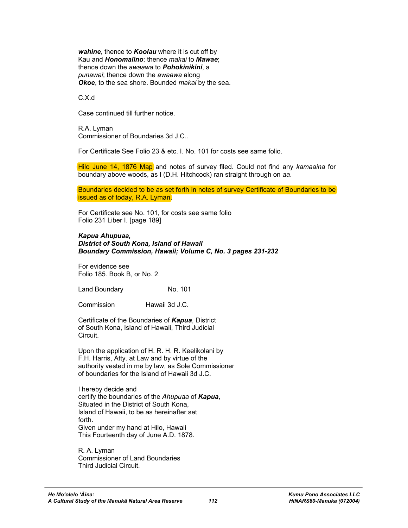*wahine*, thence to *Koolau* where it is cut off by Kau and *Honomalino*; thence *makai* to *Mawae*; thence down the *awaawa* to *Pohokinikini*, a *punawai*; thence down the *awaawa* along *Okoe*, to the sea shore. Bounded *makai* by the sea.

C.X.d

Case continued till further notice.

R.A. Lyman Commissioner of Boundaries 3d J.C..

For Certificate See Folio 23 & etc. I. No. 101 for costs see same folio.

Hilo June 14, 1876 Map and notes of survey filed. Could not find any *kamaaina* for boundary above woods, as I (D.H. Hitchcock) ran straight through on *aa*.

Boundaries decided to be as set forth in notes of survey Certificate of Boundaries to be issued as of today, R.A. Lyman.

For Certificate see No. 101, for costs see same folio Folio 231 Liber I. [page 189]

#### *Kapua Ahupuaa,*

*District of South Kona, Island of Hawaii Boundary Commission, Hawaii; Volume C, No. 3 pages 231-232* 

For evidence see Folio 185. Book B, or No. 2.

Land Boundary No. 101

Commission Hawaii 3d J.C.

Certificate of the Boundaries of *Kapua*, District of South Kona, Island of Hawaii, Third Judicial Circuit.

Upon the application of H. R. H. R. Keelikolani by F.H. Harris, Atty. at Law and by virtue of the authority vested in me by law, as Sole Commissioner of boundaries for the Island of Hawaii 3d J.C.

I hereby decide and certify the boundaries of the *Ahupuaa* of *Kapua*, Situated in the District of South Kona, Island of Hawaii, to be as hereinafter set forth. Given under my hand at Hilo, Hawaii This Fourteenth day of June A.D. 1878.

R. A. Lyman Commissioner of Land Boundaries Third Judicial Circuit.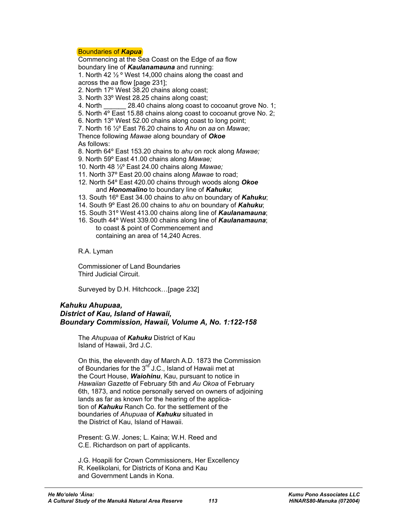## Boundaries of *Kapua*

Commencing at the Sea Coast on the Edge of *aa* flow boundary line of *Kaulanamauna* and running:

1. North 42 ½ º West 14,000 chains along the coast and

across the *aa* flow [page 231];

- 2. North 17º West 38.20 chains along coast;
- 3. North 33º West 28.25 chains along coast;
- 4. North 28.40 chains along coast to cocoanut grove No. 1;
- 5. North 4º East 15.88 chains along coast to cocoanut grove No. 2;

6. North 13º West 52.00 chains along coast to long point;

7. North 16 ½º East 76.20 chains to *Ahu* on *aa* on *Mawae*; Thence following *Mawae* along boundary of *Okoe* As follows:

8. North 64º East 153.20 chains to *ahu* on rock along *Mawae;*

- 9. North 59º East 41.00 chains along *Mawae;*
- 10. North 48 ½º East 24.00 chains along *Mawae;*
- 11. North 37º East 20.00 chains along *Mawae* to road;
- 12. North 54º East 420.00 chains through woods along *Okoe* and *Honomalino* to boundary line of *Kahuku*;
- 13. South 16º East 34.00 chains to *ahu* on boundary of *Kahuku*;
- 14. South 9º East 26.00 chains to *ahu* on boundary of *Kahuku*;
- 15. South 31º West 413.00 chains along line of *Kaulanamauna*;
- 16. South 44º West 339.00 chains along line of *Kaulanamauna*; to coast & point of Commencement and containing an area of 14,240 Acres.

R.A. Lyman

Commissioner of Land Boundaries Third Judicial Circuit.

Surveyed by D.H. Hitchcock…[page 232]

## *Kahuku Ahupuaa, District of Kau, Island of Hawaii, Boundary Commission, Hawaii, Volume A, No. 1:122-158*

The *Ahupuaa* of *Kahuku* District of Kau Island of Hawaii, 3rd J.C.

On this, the eleventh day of March A.D. 1873 the Commission of Boundaries for the  $3<sup>rd</sup>$  J.C., Island of Hawaii met at the Court House, *Waiohinu*, Kau, pursuant to notice in *Hawaiian Gazette* of February 5th and *Au Okoa* of February 6th, 1873, and notice personally served on owners of adjoining lands as far as known for the hearing of the application of *Kahuku* Ranch Co. for the settlement of the boundaries of *Ahupuaa* of *Kahuku* situated in the District of Kau, Island of Hawaii.

Present: G.W. Jones; L. Kaina; W.H. Reed and C.E. Richardson on part of applicants.

J.G. Hoapili for Crown Commissioners, Her Excellency R. Keelikolani, for Districts of Kona and Kau and Government Lands in Kona.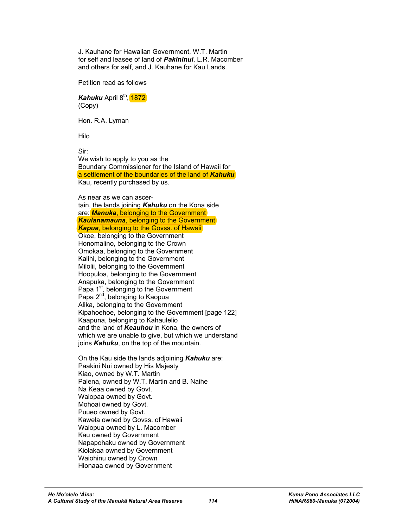J. Kauhane for Hawaiian Government, W.T. Martin for self and leasee of land of *Pakininui*, L.R. Macomber and others for self, and J. Kauhane for Kau Lands.

Petition read as follows

*Kahuku* April 8<sup>th</sup>, 1872 (Copy)

Hon. R.A. Lyman

Hilo

Sir: We wish to apply to you as the Boundary Commissioner for the Island of Hawaii for a settlement of the boundaries of the land of *Kahuku* Kau, recently purchased by us.

As near as we can ascertain, the lands joining *Kahuku* on the Kona side are: *Manuka*, belonging to the Government *Kaulanamauna*, belonging to the Government **Kapua**, belonging to the Govss. of Hawaii Okoe, belonging to the Government Honomalino, belonging to the Crown Omokaa, belonging to the Government Kalihi, belonging to the Government Milolii, belonging to the Government Hoopuloa, belonging to the Government Anapuka, belonging to the Government Papa 1<sup>st</sup>, belonging to the Government Papa 2<sup>nd</sup>, belonging to Kaopua Alika, belonging to the Government Kipahoehoe, belonging to the Government [page 122] Kaapuna, belonging to Kahaulelio and the land of *Keauhou* in Kona, the owners of which we are unable to give, but which we understand joins *Kahuku*, on the top of the mountain.

On the Kau side the lands adjoining *Kahuku* are: Paakini Nui owned by His Majesty Kiao, owned by W.T. Martin Palena, owned by W.T. Martin and B. Naihe Na Keaa owned by Govt. Waiopaa owned by Govt. Mohoai owned by Govt. Puueo owned by Govt. Kawela owned by Govss. of Hawaii Waiopua owned by L. Macomber Kau owned by Government Napapohaku owned by Government Kiolakaa owned by Government Waiohinu owned by Crown Hionaaa owned by Government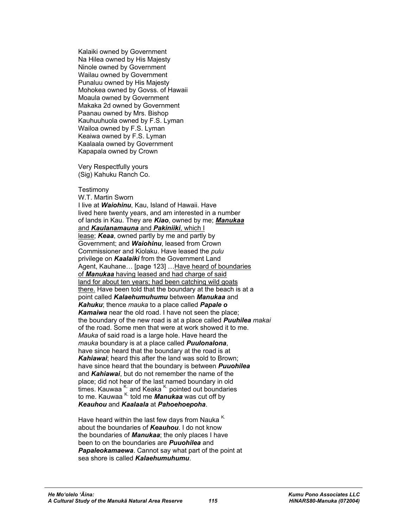Kalaiki owned by Government Na Hilea owned by His Majesty Ninole owned by Government Wailau owned by Government Punaluu owned by His Majesty Mohokea owned by Govss. of Hawaii Moaula owned by Government Makaka 2d owned by Government Paanau owned by Mrs. Bishop Kauhuuhuola owned by F.S. Lyman Wailoa owned by F.S. Lyman Keaiwa owned by F.S. Lyman Kaalaala owned by Government Kapapala owned by Crown

Very Respectfully yours (Sig) Kahuku Ranch Co.

#### **Testimony**

W.T. Martin Sworn I live at *Waiohinu*, Kau, Island of Hawaii. Have lived here twenty years, and am interested in a number of lands in Kau. They are *Kiao*, owned by me; *Manukaa* and *Kaulanamauna* and *Pakiniiki*, which I lease; *Keaa*, owned partly by me and partly by Government; and *Waiohinu*, leased from Crown Commissioner and Kiolaku. Have leased the *pulu* privilege on *Kaalaiki* from the Government Land Agent, Kauhane… [page 123] …Have heard of boundaries of *Manukaa* having leased and had charge of said land for about ten years; had been catching wild goats there. Have been told that the boundary at the beach is at a point called *Kalaehumuhumu* between *Manukaa* and *Kahuku*; thence *mauka* to a place called *Papale o Kamaiwa* near the old road. I have not seen the place; the boundary of the new road is at a place called *Puuhilea makai* of the road. Some men that were at work showed it to me. *Mauka* of said road is a large hole. Have heard the *mauka* boundary is at a place called *Puulonalona*, have since heard that the boundary at the road is at *Kahiawai*; heard this after the land was sold to Brown; have since heard that the boundary is between *Puuohilea* and *Kahiawai*, but do not remember the name of the place; did not hear of the last named boundary in old times. Kauwaa  $K$  and Keaka  $K$  pointed out boundaries to me. Kauwaa K. told me *Manukaa* was cut off by *Keauhou* and *Kaalaala* at *Pahoehoepoha*.

Have heard within the last few days from Nauka<sup>K.</sup> about the boundaries of *Keauhou*. I do not know the boundaries of *Manukaa*; the only places I have been to on the boundaries are *Puuohilea* and *Papaleokamaewa*. Cannot say what part of the point at sea shore is called *Kalaehumuhumu*.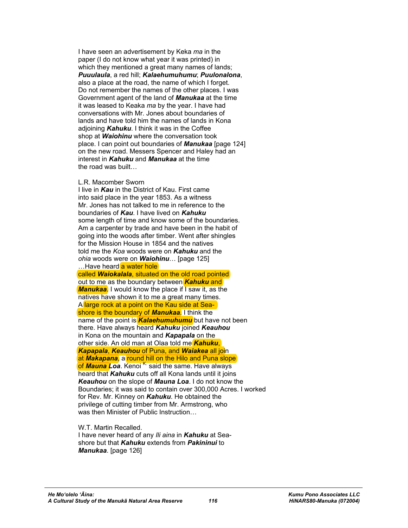I have seen an advertisement by Keka *ma* in the paper (I do not know what year it was printed) in which they mentioned a great many names of lands: *Puuulaula*, a red hill; *Kalaehumuhumu*; *Puulonalona*, also a place at the road, the name of which I forget. Do not remember the names of the other places. I was Government agent of the land of *Manukaa* at the time it was leased to Keaka *ma* by the year. I have had conversations with Mr. Jones about boundaries of lands and have told him the names of lands in Kona adjoining *Kahuku*. I think it was in the Coffee shop at *Waiohinu* where the conversation took place. I can point out boundaries of *Manukaa* [page 124] on the new road. Messers Spencer and Haley had an interest in *Kahuku* and *Manukaa* at the time the road was built

#### L.R. Macomber Sworn

I live in *Kau* in the District of Kau. First came into said place in the year 1853. As a witness Mr. Jones has not talked to me in reference to the boundaries of *Kau*. I have lived on *Kahuku* some length of time and know some of the boundaries. Am a carpenter by trade and have been in the habit of going into the woods after timber. Went after shingles for the Mission House in 1854 and the natives told me the *Koa* woods were on *Kahuku* and the *ohia* woods were on *Waiohinu*… [page 125] ... Have heard a water hole called *Waiokalala*, situated on the old road pointed out to me as the boundary between *Kahuku* and *Manukaa*. I would know the place if I saw it, as the natives have shown it to me a great many times. A large rock at a point on the Kau side at Seashore is the boundary of *Manukaa*. I think the name of the point is *Kalaehumuhumu* but have not been there. Have always heard *Kahuku* joined *Keauhou* in Kona on the mountain and *Kapapala* on the other side. An old man at Olaa told me *Kahuku*, *Kapapala*, *Keauhou* of Puna, and *Waiakea* all join at *Makapana*, a round hill on the Hilo and Puna slope of *Mauna* Loa. Kenoi <sup>K.</sup> said the same. Have always heard that *Kahuku* cuts off all Kona lands until it joins *Keauhou* on the slope of *Mauna Loa*. I do not know the Boundaries; it was said to contain over 300,000 Acres. I worked for Rev. Mr. Kinney on *Kahuku*. He obtained the privilege of cutting timber from Mr. Armstrong, who was then Minister of Public Instruction…

W.T. Martin Recalled. I have never heard of any *Ili aina* in *Kahuku* at Seashore but that *Kahuku* extends from *Pakininui* to *Manukaa*. [page 126]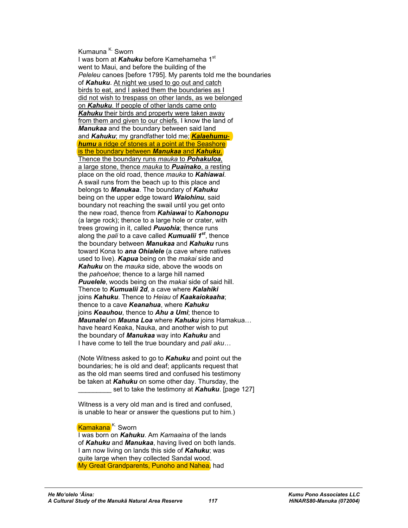#### Kumauna <sup>K.</sup> Sworn

I was born at *Kahuku* before Kamehameha 1<sup>st</sup> went to Maui, and before the building of the *Peleleu* canoes [before 1795]. My parents told me the boundaries of *Kahuku*. At night we used to go out and catch birds to eat, and I asked them the boundaries as I did not wish to trespass on other lands, as we belonged on *Kahuku*. If people of other lands came onto *Kahuku* their birds and property were taken away from them and given to our chiefs. I know the land of *Manukaa* and the boundary between said land and *Kahuku*; my grandfather told me; *Kalaehumuhumu* a ridge of stones at a point at the Seashore is the boundary between *Manukaa* and *Kahuku*. Thence the boundary runs *mauka* to *Pohakuloa*, a large stone, thence *mauka* to *Puainako*, a resting place on the old road, thence *mauka* to *Kahiawai*. A swail runs from the beach up to this place and belongs to *Manukaa*. The boundary of *Kahuku* being on the upper edge toward *Waiohinu*, said boundary not reaching the swail until you get onto the new road, thence from *Kahiawai* to *Kahonopu* (a large rock); thence to a large hole or crater, with trees growing in it, called *Puuohia*; thence runs along the *pali* to a cave called *Kumualii 1st*, thence the boundary between *Manukaa* and *Kahuku* runs toward Kona to *ana Ohialele* (a cave where natives used to live). *Kapua* being on the *makai* side and *Kahuku* on the *mauka* side, above the woods on the *pahoehoe*; thence to a large hill named *Puuelele*, woods being on the *makai* side of said hill. Thence to *Kumualii 2d*, a cave where *Kalahiki* joins *Kahuku*. Thence to *Heiau* of *Kaakaiokaaha*; thence to a cave *Keanahua*, where *Kahuku* joins *Keauhou*, thence to *Ahu a Umi*; thence to *Maunalei* on *Mauna Loa* where *Kahuku* joins Hamakua… have heard Keaka, Nauka, and another wish to put the boundary of *Manukaa* way into *Kahuku* and I have come to tell the true boundary and *pali aku…*

(Note Witness asked to go to *Kahuku* and point out the boundaries; he is old and deaf; applicants request that as the old man seems tired and confused his testimony be taken at *Kahuku* on some other day. Thursday, the set to take the testimony at **Kahuku**. [page 127]

Witness is a very old man and is tired and confused, is unable to hear or answer the questions put to him.)

## Kamakana<sup>K.</sup> Sworn

I was born on *Kahuku*. Am *Kamaaina* of the lands of *Kahuku* and *Manukaa*, having lived on both lands. I am now living on lands this side of *Kahuku*; was quite large when they collected Sandal wood. My Great Grandparents, Punoho and Nahea, had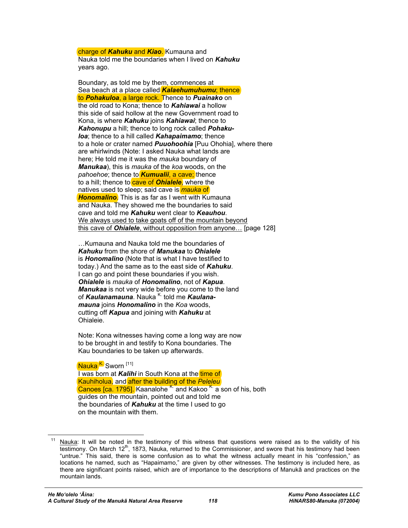charge of *Kahuku* and *Kiao*. Kumauna and Nauka told me the boundaries when I lived on *Kahuku* years ago.

Boundary, as told me by them, commences at Sea beach at a place called *Kalaehumuhumu*; thence to *Pohakuloa*, a large rock. Thence to *Puainako* on the old road to Kona; thence to *Kahiawai* a hollow this side of said hollow at the new Government road to Kona, is where *Kahuku* joins *Kahiawai*; thence to *Kahonupu* a hill; thence to long rock called *Pohakuloa*; thence to a hill called *Kahapaimamo*; thence to a hole or crater named *Puuohoohia* [Puu Ohohia], where there are whirlwinds (Note: I asked Nauka what lands are here; He told me it was the *mauka* boundary of *Manukaa*), this is *mauka* of the *koa* woods, on the *pahoehoe*; thence to *Kumualii*, a cave; thence to a hill; thence to cave of **Ohialele**, where the natives used to sleep; said cave is *mauka* of *Honomalino*. This is as far as I went with Kumauna and Nauka. They showed me the boundaries to said cave and told me *Kahuku* went clear to *Keauhou*. We always used to take goats off of the mountain beyond this cave of *Ohialele*, without opposition from anyone… [page 128]

…Kumauna and Nauka told me the boundaries of *Kahuku* from the shore of *Manukaa* to *Ohialele* is *Honomalino* (Note that is what I have testified to today.) And the same as to the east side of *Kahuku*. I can go and point these boundaries if you wish. *Ohialele* is *mauka* of *Honomalino*, not of *Kapua*. *Manukaa* is not very wide before you come to the land of *Kaulanamauna*. Nauka <sup>K.</sup> told me *Kaulanamauna* joins *Honomalino* in the *Koa* woods, cutting off *Kapua* and joining with *Kahuku* at Ohialeie.

Note: Kona witnesses having come a long way are now to be brought in and testify to Kona boundaries. The Kau boundaries to be taken up afterwards.

Nauka<sup>K.</sup> Sworn<sup>[11]</sup> I was born at *Kalihi* in South Kona at the time of Kauhiholua, and after the building of the *Peleleu* Canoes [ca. 1795]. Kaanalohe <sup>K.</sup> and Kakoo <sup>K.</sup> a son of his, both guides on the mountain, pointed out and told me the boundaries of *Kahuku* at the time I used to go on the mountain with them.

 $\overline{a}$ Nauka: It will be noted in the testimony of this witness that questions were raised as to the validity of his testimony. On March 12<sup>th</sup>, 1873, Nauka, returned to the Commissioner, and swore that his testimony had been "untrue." This said, there is some confusion as to what the witness actually meant in his "confession," as locations he named, such as "Hapaimamo," are given by other witnesses. The testimony is included here, as there are significant points raised, which are of importance to the descriptions of Manukā and practices on the mountain lands.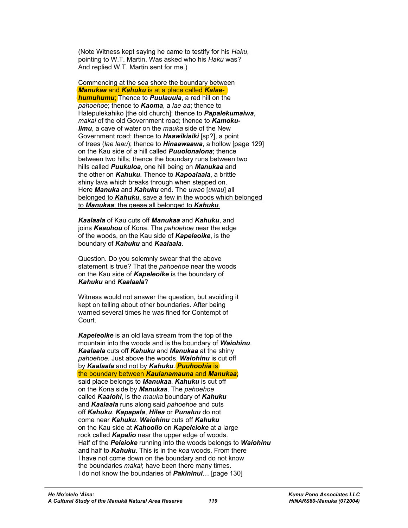(Note Witness kept saying he came to testify for his *Haku*, pointing to W.T. Martin. Was asked who his *Haku* was? And replied W.T. Martin sent for me.)

Commencing at the sea shore the boundary between *Manukaa* and *Kahuku* is at a place called *Kalaehumuhumu*; Thence to *Puulauula*, a red hill on the *pahoeho*e; thence to *Kaoma*, a *lae aa*; thence to Halepulekahiko [the old church]; thence to *Papalekumaiwa*, *makai* of the old Government road; thence to *Kamokulimu*, a cave of water on the *mauka* side of the New Government road; thence to *Haawikiaiki* [sp?], a point of trees (*lae laau*); thence to *Hinaawaawa*, a hollow [page 129] on the Kau side of a hill called *Puuolonalona*; thence between two hills; thence the boundary runs between two hills called *Puukuloa*, one hill being on *Manukaa* and the other on *Kahuku*. Thence to *Kapoalaala*, a brittle shiny lava which breaks through when stepped on. Here *Manuka* and *Kahuku* end. The *uwao* [*uwau*] all belonged to *Kahuku*, save a few in the woods which belonged to *Manukaa*; the geese all belonged to *Kahuku*.

*Kaalaala* of Kau cuts off *Manukaa* and *Kahuku*, and joins *Keauhou* of Kona. The *pahoehoe* near the edge of the woods, on the Kau side of *Kapeleoike*, is the boundary of *Kahuku* and *Kaalaala*.

Question. Do you solemnly swear that the above statement is true? That the *pahoehoe* near the woods on the Kau side of *Kapeleoike* is the boundary of *Kahuku* and *Kaalaala*?

Witness would not answer the question, but avoiding it kept on telling about other boundaries. After being warned several times he was fined for Contempt of Court.

*Kapeleoike* is an old lava stream from the top of the mountain into the woods and is the boundary of *Waiohinu*. *Kaalaala* cuts off *Kahuku* and *Manukaa* at the shiny *pahoehoe*. Just above the woods, *Waiohinu* is cut off by *Kaalaala* and not by *Kahuku*. *Puuhoohia* is the boundary between *Kaulanamauna* and *Manukaa*; said place belongs to *Manukaa*. *Kahuku* is cut off on the Kona side by *Manukaa*. The *pahoehoe* called *Kaalohi*, is the *mauka* boundary of *Kahuku* and *Kaalaala* runs along said *pahoehoe* and cuts off *Kahuku*. *Kapapala*, *Hilea* or *Punaluu* do not come near *Kahuku*. *Waiohinu* cuts off *Kahuku* on the Kau side at *Kahoolio* on *Kapeleioke* at a large rock called *Kapalio* near the upper edge of woods. Half of the *Peleioke* running into the woods belongs to *Waiohinu* and half to *Kahuku*. This is in the *koa* woods. From there I have not come down on the boundary and do not know the boundaries *makai*; have been there many times. I do not know the boundaries of *Pakininui*… [page 130]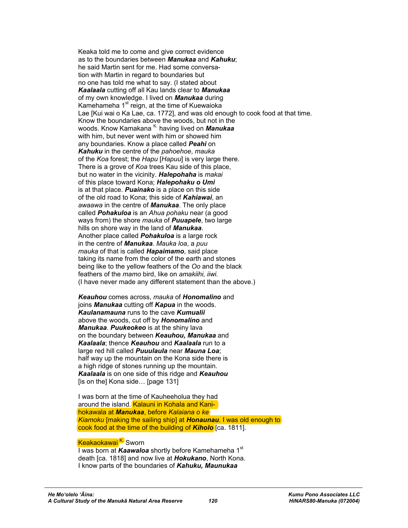Keaka told me to come and give correct evidence as to the boundaries between *Manukaa* and *Kahuku*; he said Martin sent for me. Had some conversation with Martin in regard to boundaries but no one has told me what to say. (I stated about *Kaalaala* cutting off all Kau lands clear to *Manukaa* of my own knowledge. I lived on *Manukaa* during Kamehameha 1<sup>st</sup> reign, at the time of Kuewaioka Lae [Kui wai o Ka Lae, ca. 1772], and was old enough to cook food at that time. Know the boundaries above the woods, but not in the woods. Know Kamakana <sup>K.</sup> having lived on **Manukaa** with him, but never went with him or showed him any boundaries. Know a place called *Peahi* on *Kahuku* in the centre of the *pahoehoe*, *mauka* of the *Koa* forest; the *Hapu* [*Hapuu*] is very large there. There is a grove of *Koa* trees Kau side of this place, but no water in the vicinity. *Halepohaha* is *makai* of this place toward Kona; *Halepohaku o Umi* is at that place. *Puainako* is a place on this side of the old road to Kona; this side of *Kahiawai*, an *awaawa* in the centre of *Manukaa*. The only place called *Pohakuloa* is an *Ahua pohaku* near (a good ways from) the shore *mauka* of *Puuapele*, two large hills on shore way in the land of *Manukaa*. Another place called *Pohakuloa* is a large rock in the centre of *Manukaa*. *Mauka loa*, a *puu mauka* of that is called *Hapaimamo*, said place taking its name from the color of the earth and stones being like to the yellow feathers of the *Oo* and the black feathers of the *mamo* bird, like on *amakiihi, iiwi.* (I have never made any different statement than the above.)

*Keauhou* comes across, *mauka* of *Honomalino* and joins *Manukaa* cutting off *Kapua* in the woods. *Kaulanamauna* runs to the cave *Kumualii* above the woods, cut off by *Honomalino* and *Manukaa*. *Puukeokeo* is at the shiny lava on the boundary between *Keauhou, Manukaa* and *Kaalaala*; thence *Keauhou* and *Kaalaala* run to a large red hill called *Puuulaula* near *Mauna Loa*; half way up the mountain on the Kona side there is a high ridge of stones running up the mountain. *Kaalaala* is on one side of this ridge and *Keauhou* [is on the] Kona side… [page 131]

I was born at the time of Kauheeholua they had around the island. Kalauni in Kohala and Kanihokawala at *Manukaa*, before *Kalaiana o ke Kiamoku* [making the sailing ship] at *Honaunau*. I was old enough to cook food at the time of the building of *Kiholo* [ca. 1811].

#### Keakaokawai <sup>K.</sup> Sworn

I was born at *Kaawaloa* shortly before Kamehameha 1<sup>st</sup> death [ca. 1818] and now live at *Hokukano*, North Kona. I know parts of the boundaries of *Kahuku, Maunukaa*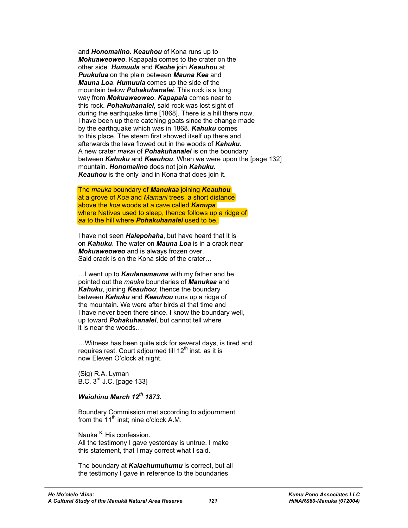and *Honomalino*. *Keauhou* of Kona runs up to *Mokuaweoweo*. Kapapala comes to the crater on the other side. *Humuula* and *Kaohe* join *Keauhou* at *Puukulua* on the plain between *Mauna Kea* and *Mauna Loa*. *Humuula* comes up the side of the mountain below *Pohakuhanalei*. This rock is a long way from *Mokuaweoweo*. *Kapapala* comes near to this rock. *Pohakuhanalei*, said rock was lost sight of during the earthquake time [1868]. There is a hill there now. I have been up there catching goats since the change made by the earthquake which was in 1868. *Kahuku* comes to this place. The steam first showed itself up there and afterwards the lava flowed out in the woods of *Kahuku*. A new crater *makai* of *Pohakuhanalei* is on the boundary between *Kahuku* and *Keauhou*. When we were upon the [page 132] mountain. *Honomalino* does not join *Kahuku*. *Keauhou* is the only land in Kona that does join it.

The *mauka* boundary of *Manukaa* joining *Keauhou* at a grove of *Koa* and *Mamani* trees, a short distance above the *koa* woods at a cave called *Kanupa* where Natives used to sleep, thence follows up a ridge of *aa* to the hill where *Pohakuhanalei* used to be.

I have not seen *Halepohaha*, but have heard that it is on *Kahuku*. The water on *Mauna Loa* is in a crack near *Mokuaweoweo* and is always frozen over. Said crack is on the Kona side of the crater…

…I went up to *Kaulanamauna* with my father and he pointed out the *mauka* boundaries of *Manukaa* and *Kahuku*, joining *Keauhou*; thence the boundary between *Kahuku* and *Keauhou* runs up a ridge of the mountain. We were after birds at that time and I have never been there since. I know the boundary well, up toward *Pohakuhanalei*, but cannot tell where it is near the woods…

…Witness has been quite sick for several days, is tired and requires rest. Court adjourned till  $12<sup>th</sup>$  inst. as it is now Eleven O'clock at night.

(Sig) R.A. Lyman B.C. 3rd J.C. [page 133]

## *Waiohinu March 12th 1873.*

Boundary Commission met according to adjournment from the  $11<sup>th</sup>$  inst; nine o'clock A.M.

Nauka  $<sup>K</sup>$ . His confession.</sup> All the testimony I gave yesterday is untrue. I make this statement, that I may correct what I said.

The boundary at *Kalaehumuhumu* is correct, but all the testimony I gave in reference to the boundaries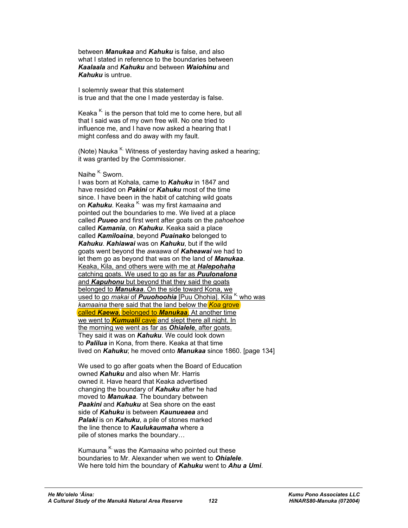between *Manukaa* and *Kahuku* is false, and also what I stated in reference to the boundaries between *Kaalaala* and *Kahuku* and between *Waiohinu* and *Kahuku* is untrue.

I solemnly swear that this statement is true and that the one I made yesterday is false.

Keaka  $K$  is the person that told me to come here, but all that I said was of my own free will. No one tried to influence me, and I have now asked a hearing that I might confess and do away with my fault.

(Note) Nauka  $K$ . Witness of yesterday having asked a hearing; it was granted by the Commissioner.

## Naihe  $K$ . Sworn.

I was born at Kohala, came to *Kahuku* in 1847 and have resided on *Pakini* or *Kahuku* most of the time since. I have been in the habit of catching wild goats on *Kahuku*. Keaka <sup>K.</sup> was my first *kamaaina* and pointed out the boundaries to me. We lived at a place called *Puueo* and first went after goats on the *pahoehoe* called *Kamania*, on *Kahuku*. Keaka said a place called *Kamiloaina*, beyond *Puainako* belonged to *Kahuku*. *Kahiawai* was on *Kahuku*, but if the wild goats went beyond the *awaawa* of *Kaheawai* we had to let them go as beyond that was on the land of *Manukaa*. Keaka, Kila, and others were with me at *Halepohaha* catching goats. We used to go as far as *Puulonalona* and *Kapuhonu* but beyond that they said the goats belonged to *Manukaa*. On the side toward Kona, we used to go *makai* of **Puuohoohia** [Puu Ohohia]. Kila K. who was *kamaaina* there said that the land below the *Koa* grove called *Kaewa*, belonged to *Manukaa*. At another time we went to **Kumualii** cave and slept there all night. In the morning we went as far as *Ohialele*, after goats. They said it was on *Kahuku*. We could look down to *Palilua* in Kona, from there. Keaka at that time lived on *Kahuku*; he moved onto *Manukaa* since 1860. [page 134]

We used to go after goats when the Board of Education owned *Kahuku* and also when Mr. Harris owned it. Have heard that Keaka advertised changing the boundary of *Kahuku* after he had moved to *Manukaa*. The boundary between *Paakini* and *Kahuku* at Sea shore on the east side of *Kahuku* is between *Kaunueaea* and *Palaki* is on *Kahuku*, a pile of stones marked the line thence to *Kaulukaumaha* where a pile of stones marks the boundary…

Kumauna<sup>K.</sup> was the *Kamaaina* who pointed out these boundaries to Mr. Alexander when we went to *Ohialele*. We here told him the boundary of *Kahuku* went to *Ahu a Umi*.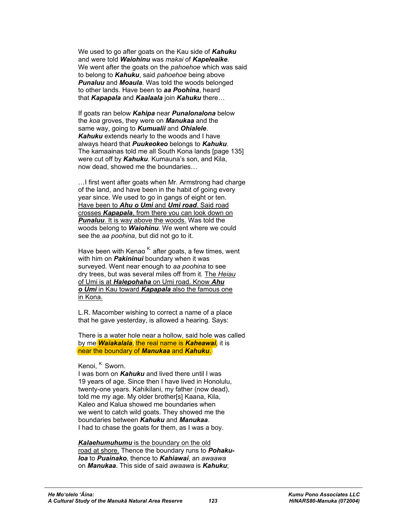We used to go after goats on the Kau side of *Kahuku* and were told *Waiohinu* was *makai* of *Kapeleaike*. We went after the goats on the *pahoehoe* which was said to belong to *Kahuku*, said *pahoehoe* being above *Punaluu* and *Moaula*. Was told the woods belonged to other lands. Have been to *aa Poohina*, heard that *Kapapala* and *Kaalaala* join *Kahuku* there…

If goats ran below *Kahipa* near *Punalonalona* below the *koa* groves, they were on *Manukaa* and the same way, going to *Kumualii* and *Ohialele*. *Kahuku* extends nearly to the woods and I have always heard that *Puukeokeo* belongs to *Kahuku*. The kamaainas told me all South Kona lands [page 135] were cut off by *Kahuku*. Kumauna's son, and Kila, now dead, showed me the boundaries…

…I first went after goats when Mr. Armstrong had charge of the land, and have been in the habit of going every year since. We used to go in gangs of eight or ten. Have been to *Ahu o Umi* and *Umi road*. Said road crosses *Kapapala*, from there you can look down on **Punaluu**. It is way above the woods. Was told the woods belong to *Waiohinu*. We went where we could see the *aa poohina*, but did not go to it.

Have been with Kenao  $K$  after goats, a few times, went with him on *Pakininui* boundary when it was surveyed. Went near enough to *aa poohina* to see dry trees, but was several miles off from it. The *Heiau* of Umi is at *Halepohaha* on Umi road. Know *Ahu o Umi* in Kau toward *Kapapala* also the famous one in Kona.

L.R. Macomber wishing to correct a name of a place that he gave yesterday, is allowed a hearing. Says:

There is a water hole near a hollow, said hole was called by me *Waiakalala*, the real name is *Kaheawai*, it is near the boundary of *Manukaa* and *Kahuku*.

Kenoi. K. Sworn.

I was born on *Kahuku* and lived there until I was 19 years of age. Since then I have lived in Honolulu, twenty-one years. Kahikilani, my father (now dead), told me my age. My older brother[s] Kaana, Kila, Kaleo and Kalua showed me boundaries when we went to catch wild goats. They showed me the boundaries between *Kahuku* and *Manukaa*. I had to chase the goats for them, as I was a boy.

*Kalaehumuhumu* is the boundary on the old road at shore. Thence the boundary runs to *Pohakuloa* to *Puainako*, thence to *Kahiawai*, an *awaawa* on *Manukaa*. This side of said *awaawa* is *Kahuku*;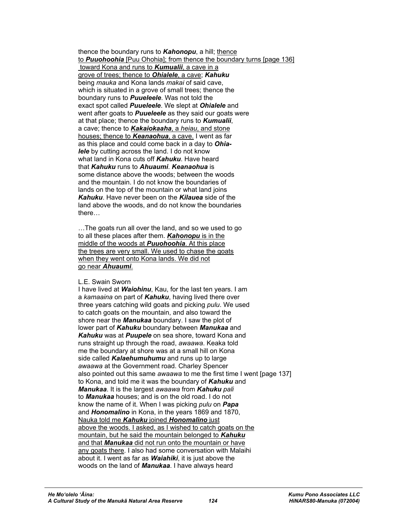thence the boundary runs to **Kahonopu**, a hill; thence to *Puuohoohia* [Puu Ohohia]; from thence the boundary turns [page 136] toward Kona and runs to *Kumualii*, a cave in a grove of trees; thence to *Ohialele*, a cave; *Kahuku* being *mauka* and Kona lands *makai* of said cave, which is situated in a grove of small trees; thence the boundary runs to *Puueleele*. Was not told the exact spot called *Puueleele*. We slept at *Ohialele* and went after goats to *Puueleele* as they said our goats were at that place; thence the boundary runs to *Kumualii*, a cave; thence to *Kakaiokaaha*, a *heiau*, and stone houses; thence to *Keanaohua*, a cave. I went as far as this place and could come back in a day to *Ohialele* by cutting across the land. I do not know what land in Kona cuts off *Kahuku*. Have heard that *Kahuku* runs to *Ahuaumi*. *Keanaohua* is some distance above the woods; between the woods and the mountain. I do not know the boundaries of lands on the top of the mountain or what land joins *Kahuku*. Have never been on the *Kilauea* side of the land above the woods, and do not know the boundaries there…

…The goats run all over the land, and so we used to go to all these places after them. *Kahonopu* is in the middle of the woods at *Puuohoohia*. At this place the trees are very small. We used to chase the goats when they went onto Kona lands. We did not go near *Ahuaumi*.

#### L.E. Swain Sworn

I have lived at *Waiohinu*, Kau, for the last ten years. I am a *kamaaina* on part of *Kahuku*, having lived there over three years catching wild goats and picking *pulu*. We used to catch goats on the mountain, and also toward the shore near the *Manukaa* boundary. I saw the plot of lower part of *Kahuku* boundary between *Manukaa* and *Kahuku* was at *Puupele* on sea shore, toward Kona and runs straight up through the road, *awaawa*. Keaka told me the boundary at shore was at a small hill on Kona side called *Kalaehumuhumu* and runs up to large *awaawa* at the Government road. Charley Spencer also pointed out this same *awaawa* to me the first time I went [page 137] to Kona, and told me it was the boundary of *Kahuku* and *Manukaa*. It is the largest *awaawa* from *Kahuku pali* to *Manukaa* houses; and is on the old road. I do not know the name of it. When I was picking *pulu* on *Papa* and *Honomalino* in Kona, in the years 1869 and 1870, Nauka told me *Kahuku* joined *Honomalino* just above the woods. I asked, as I wished to catch goats on the mountain, but he said the mountain belonged to *Kahuku* and that *Manukaa* did not run onto the mountain or have any goats there. I also had some conversation with Malaihi about it. I went as far as *Waiahiki*, it is just above the woods on the land of *Manukaa*. I have always heard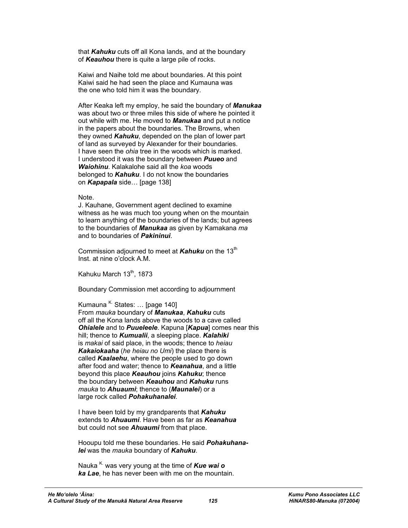that *Kahuku* cuts off all Kona lands, and at the boundary of *Keauhou* there is quite a large pile of rocks.

Kaiwi and Naihe told me about boundaries. At this point Kaiwi said he had seen the place and Kumauna was the one who told him it was the boundary.

After Keaka left my employ, he said the boundary of *Manukaa* was about two or three miles this side of where he pointed it out while with me. He moved to *Manukaa* and put a notice in the papers about the boundaries. The Browns, when they owned *Kahuku*, depended on the plan of lower part of land as surveyed by Alexander for their boundaries. I have seen the *ohia* tree in the woods which is marked. I understood it was the boundary between *Puueo* and *Waiohinu*. Kalakalohe said all the *koa* woods belonged to *Kahuku*. I do not know the boundaries on *Kapapala* side… [page 138]

#### Note.

J. Kauhane, Government agent declined to examine witness as he was much too young when on the mountain to learn anything of the boundaries of the lands; but agrees to the boundaries of *Manukaa* as given by Kamakana *ma* and to boundaries of *Pakininui*.

Commission adjourned to meet at **Kahuku** on the 13<sup>th</sup> Inst. at nine o'clock A.M.

Kahuku March 13th, 1873

Boundary Commission met according to adjournment

Kumauna  $K$  States: ... [page 140] From *mauka* boundary of *Manukaa*, *Kahuku* cuts off all the Kona lands above the woods to a cave called *Ohialele* and to *Puueleele*. Kapuna [*Kapua*] comes near this hill; thence to *Kumualii*, a sleeping place. *Kalahiki* is *makai* of said place, in the woods; thence to *heiau Kakaiokaaha* (*he heiau no Umi*) the place there is called *Kaalaehu*, where the people used to go down after food and water; thence to *Keanahua*, and a little beyond this place *Keauhou* joins *Kahuku*; thence the boundary between *Keauhou* and *Kahuku* runs *mauka* to *Ahuaumi*; thence to (*Maunalei*) or a large rock called *Pohakuhanalei*.

I have been told by my grandparents that *Kahuku* extends to *Ahuaumi*. Have been as far as *Keanahua* but could not see *Ahuaumi* from that place.

Hooupu told me these boundaries. He said *Pohakuhanalei* was the *mauka* boundary of *Kahuku*.

Nauka<sup>K.</sup> was very young at the time of **Kue wai o** *ka Lae*, he has never been with me on the mountain.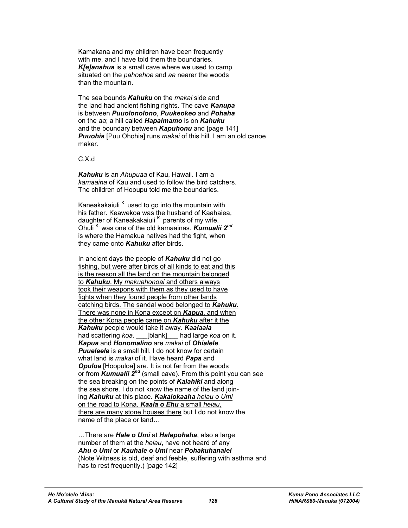Kamakana and my children have been frequently with me, and I have told them the boundaries. *K[e]anahua* is a small cave where we used to camp situated on the *pahoehoe* and *aa* nearer the woods than the mountain.

The sea bounds *Kahuku* on the *makai* side and the land had ancient fishing rights. The cave *Kanupa* is between *Puuolonolono*, *Puukeokeo* and *Pohaha* on the *aa*; a hill called *Hapaimamo* is on *Kahuku* and the boundary between *Kapuhonu* and [page 141] *Puuohia* [Puu Ohohia] runs *makai* of this hill. I am an old canoe maker.

C.X.d

*Kahuku* is an *Ahupuaa* of Kau, Hawaii. I am a *kamaaina* of Kau and used to follow the bird catchers. The children of Hooupu told me the boundaries.

Kaneakakaiuli  $K$  used to go into the mountain with his father. Keawekoa was the husband of Kaahaiea, daughter of Kaneakakaiuli<sup>K.</sup> parents of my wife. Ohuli K. was one of the old kamaainas. *Kumualii 2nd* is where the Hamakua natives had the fight, when they came onto *Kahuku* after birds.

In ancient days the people of *Kahuku* did not go fishing, but were after birds of all kinds to eat and this is the reason all the land on the mountain belonged to *Kahuku*. My *makuahonoai* and others always took their weapons with them as they used to have fights when they found people from other lands catching birds. The sandal wood belonged to *Kahuku*. There was none in Kona except on *Kapua*, and when the other Kona people came on *Kahuku* after it the *Kahuku* people would take it away. *Kaalaala* had scattering *koa*. \_\_\_[blank]\_\_\_ had large *koa* on it. *Kapua* and *Honomalino* are *makai* of *Ohialele*. **Puueleele** is a small hill. I do not know for certain what land is *makai* of it. Have heard *Papa* and **Opuloa** [Hoopuloa] are. It is not far from the woods or from *Kumualii 2nd* (small cave). From this point you can see the sea breaking on the points of *Kalahiki* and along the sea shore. I do not know the name of the land joining *Kahuku* at this place. *Kakaiokaaha heiau o Umi* on the road to Kona. *Kaala o Ehu* a small *heiau*, there are many stone houses there but I do not know the name of the place or land…

…There are *Hale o Umi* at *Halepohaha*, also a large number of them at the *heiau*, have not heard of any *Ahu o Umi* or *Kauhale o Umi* near *Pohakuhanalei* (Note Witness is old, deaf and feeble, suffering with asthma and has to rest frequently.) [page 142]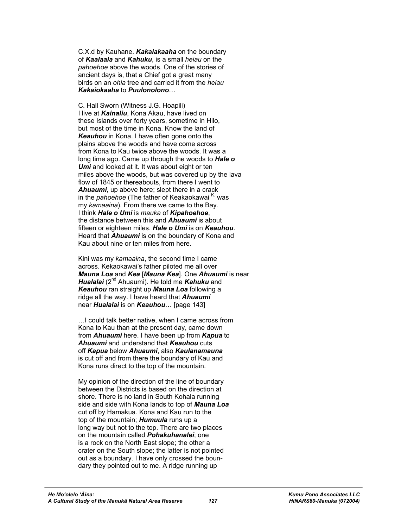C.X.d by Kauhane. *Kakaiakaaha* on the boundary of *Kaalaala* and *Kahuku*, is a small *heiau* on the *pahoehoe* above the woods. One of the stories of ancient days is, that a Chief got a great many birds on an *ohia* tree and carried it from the *heiau Kakaiokaaha* to *Puulonolono*…

C. Hall Sworn (Witness J.G. Hoapili) I live at *Kainaliu*, Kona Akau, have lived on these Islands over forty years, sometime in Hilo, but most of the time in Kona. Know the land of *Keauhou* in Kona. I have often gone onto the plains above the woods and have come across from Kona to Kau twice above the woods. It was a long time ago. Came up through the woods to *Hale o Umi* and looked at it. It was about eight or ten miles above the woods, but was covered up by the lava flow of 1845 or thereabouts, from there I went to *Ahuaumi*, up above here; slept there in a crack in the *pahoehoe* (The father of Keakaokawai <sup>K.</sup> was my *kamaaina*). From there we came to the Bay. I think *Hale o Umi* is *mauka* of *Kipahoehoe*, the distance between this and *Ahuaumi* is about fifteen or eighteen miles. *Hale o Umi* is on *Keauhou*. Heard that *Ahuaumi* is on the boundary of Kona and Kau about nine or ten miles from here.

Kini was my *kamaaina*, the second time I came across. Kekaokawai's father piloted me all over *Mauna Loa* and *Kea* [*Mauna Kea*]. One *Ahuaumi* is near *Hualalai* (2nd Ahuaumi). He told me *Kahuku* and *Keauhou* ran straight up *Mauna Loa* following a ridge all the way. I have heard that *Ahuaumi* near *Hualalai* is on *Keauhou*… [page 143]

…I could talk better native, when I came across from Kona to Kau than at the present day, came down from *Ahuaumi* here. I have been up from *Kapua* to *Ahuaumi* and understand that *Keauhou* cuts off *Kapua* below *Ahuaumi*, also *Kaulanamauna* is cut off and from there the boundary of Kau and Kona runs direct to the top of the mountain.

My opinion of the direction of the line of boundary between the Districts is based on the direction at shore. There is no land in South Kohala running side and side with Kona lands to top of *Mauna Loa* cut off by Hamakua. Kona and Kau run to the top of the mountain; *Humuula* runs up a long way but not to the top. There are two places on the mountain called *Pohakuhanalei*; one is a rock on the North East slope; the other a crater on the South slope; the latter is not pointed out as a boundary. I have only crossed the boundary they pointed out to me. A ridge running up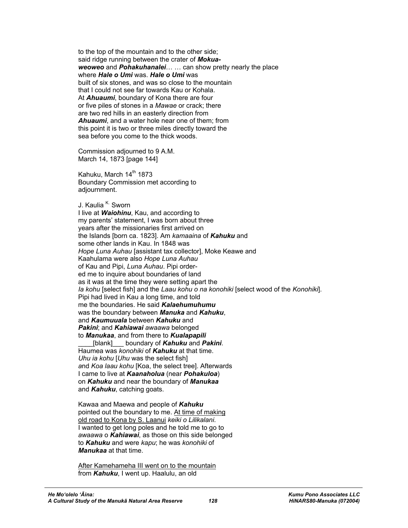to the top of the mountain and to the other side; said ridge running between the crater of *Mokuaweoweo* and *Pohakuhanalei*… … can show pretty nearly the place where *Hale o Umi* was. *Hale o Umi* was built of six stones, and was so close to the mountain that I could not see far towards Kau or Kohala. At *Ahuaumi*, boundary of Kona there are four or five piles of stones in a *Mawae* or crack; there are two red hills in an easterly direction from *Ahuaumi*, and a water hole near one of them; from this point it is two or three miles directly toward the sea before you come to the thick woods.

Commission adjourned to 9 A.M. March 14, 1873 [page 144]

Kahuku, March 14<sup>th</sup> 1873 Boundary Commission met according to adjournment.

J. Kaulia<sup>K.</sup> Sworn I live at *Waiohinu*, Kau, and according to my parents' statement, I was born about three years after the missionaries first arrived on the Islands [born ca. 1823]. Am *kamaaina* of *Kahuku* and some other lands in Kau. In 1848 was *Hope Luna Auhau* [assistant tax collector], Moke Keawe and Kaahulama were also *Hope Luna Auhau* of Kau and Pipi, *Luna Auhau*. Pipi ordered me to inquire about boundaries of land as it was at the time they were setting apart the *Ia kohu* [select fish] and the *Laau kohu o na konohiki* [select wood of the *Konohiki*]. Pipi had lived in Kau a long time, and told me the boundaries. He said *Kalaehumuhumu* was the boundary between *Manuka* and *Kahuku*, and *Kaumuuala* between *Kahuku* and *Pakini*; and *Kahiawai awaawa* belonged to *Manukaa*, and from there to *Kualapapili* \_\_\_\_[blank]\_\_\_ boundary of *Kahuku* and *Pakini*.

Haumea was *konohiki* of *Kahuku* at that time. *Uhu ia kohu* [*Uhu* was the select fish] *a*nd *Koa laau kohu* [Koa, the select tree]. Afterwards I came to live at *Kaanaholua* (near *Pohakuloa*) on *Kahuku* and near the boundary of *Manukaa* and *Kahuku*, catching goats.

Kawaa and Maewa and people of *Kahuku* pointed out the boundary to me. At time of making old road to Kona by S. Laanui *keiki o Lilikalani*. I wanted to get long poles and he told me to go to *awaawa* o *Kahiawai*, as those on this side belonged to *Kahuku* and were *kapu*; he was *konohiki* of *Manukaa* at that time.

After Kamehameha III went on to the mountain from *Kahuku*, I went up. Haalulu, an old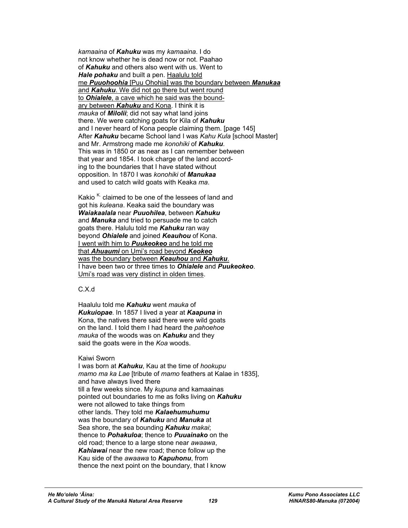*kamaaina* of *Kahuku* was my *kamaaina*. I do not know whether he is dead now or not. Paahao of *Kahuku* and others also went with us. Went to *Hale pohaku* and built a pen. Haalulu told me *Puuohoohia* [Puu Ohohia] was the boundary between *Manukaa* and **Kahuku**. We did not go there but went round to *Ohialele*, a cave which he said was the boundary between *Kahuku* and Kona. I think it is *mauka* of *Milolii*; did not say what land joins there. We were catching goats for Kila of *Kahuku* and I never heard of Kona people claiming them. [page 145] After *Kahuku* became School land I was *Kahu Kula* [school Master] and Mr. Armstrong made me *konohiki* of *Kahuku*. This was in 1850 or as near as I can remember between that year and 1854. I took charge of the land according to the boundaries that I have stated without opposition. In 1870 I was *konohiki* of *Manukaa* and used to catch wild goats with Keaka *ma*.

Kakio  $K$  claimed to be one of the lessees of land and got his *kuleana*. Keaka said the boundary was *Waiakaalala* near *Puuohilea*, between *Kahuku* and *Manuka* and tried to persuade me to catch goats there. Halulu told me *Kahuku* ran way beyond *Ohialele* and joined *Keauhou* of Kona. I went with him to *Puukeokeo* and he told me that *Ahuaumi* on Umi's road beyond *Keokeo* was the boundary between *Keauhou* and *Kahuku*. I have been two or three times to *Ohialele* and *Puukeokeo*. Umi's road was very distinct in olden times.

### C.X.d

Haalulu told me *Kahuku* went *mauka* of *Kukuiopae*. In 1857 I lived a year at *Kaapuna* in Kona, the natives there said there were wild goats on the land. I told them I had heard the *pahoehoe mauka* of the woods was on *Kahuku* and they said the goats were in the *Koa* woods.

#### Kaiwi Sworn

I was born at *Kahuku*, Kau at the time of *hookupu mamo ma ka Lae* [tribute of *mamo* feathers at Kalae in 1835], and have always lived there till a few weeks since. My *kupuna* and kamaainas pointed out boundaries to me as folks living on *Kahuku* were not allowed to take things from other lands. They told me *Kalaehumuhumu* was the boundary of *Kahuku* and *Manuka* at Sea shore, the sea bounding *Kahuku makai*; thence to *Pohakuloa*; thence to *Puuainako* on the old road; thence to a large stone near *awaawa*, *Kahiawai* near the new road; thence follow up the Kau side of the *awaawa* to *Kapuhonu*, from thence the next point on the boundary, that I know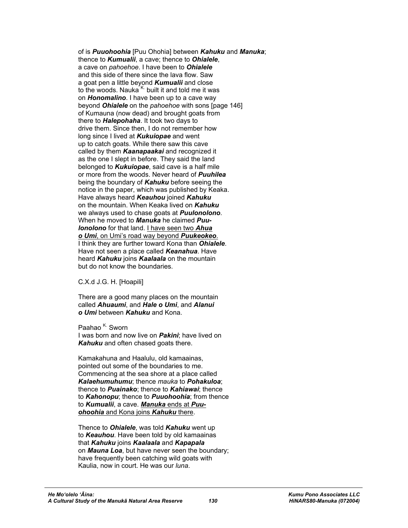of is *Puuohoohia* [Puu Ohohia] between *Kahuku* and *Manuka*; thence to *Kumualii*, a cave; thence to *Ohialele*, a cave on *pahoehoe*. I have been to *Ohialele* and this side of there since the lava flow. Saw a goat pen a little beyond *Kumualii* and close to the woods. Nauka  $K$  built it and told me it was on *Honomalino*. I have been up to a cave way beyond *Ohialele* on the *pahoehoe* with sons [page 146] of Kumauna (now dead) and brought goats from there to *Halepohaha*. It took two days to drive them. Since then, I do not remember how long since I lived at *Kukuiopae* and went up to catch goats. While there saw this cave called by them *Kaanapaakai* and recognized it as the one I slept in before. They said the land belonged to *Kukuiopae*, said cave is a half mile or more from the woods. Never heard of *Puuhilea* being the boundary of *Kahuku* before seeing the notice in the paper, which was published by Keaka. Have always heard *Keauhou* joined *Kahuku* on the mountain. When Keaka lived on *Kahuku* we always used to chase goats at *Puulonolono*. When he moved to *Manuka* he claimed *Puulonolono* for that land. I have seen two *Ahua o Umi*, on Umi's road way beyond *Puukeokeo*. I think they are further toward Kona than *Ohialele*. Have not seen a place called *Keanahua*. Have heard *Kahuku* joins *Kaalaala* on the mountain but do not know the boundaries.

C.X.d J.G. H. [Hoapili]

There are a good many places on the mountain called *Ahuaumi*, and *Hale o Umi*, and *Alanui o Umi* between *Kahuku* and Kona.

Paahao <sup>K.</sup> Sworn I was born and now live on *Pakini*; have lived on *Kahuku* and often chased goats there.

Kamakahuna and Haalulu, old kamaainas, pointed out some of the boundaries to me. Commencing at the sea shore at a place called *Kalaehumuhumu*; thence *mauka* to *Pohakuloa*; thence to *Puainako*; thence to *Kahiawai*; thence to *Kahonopu*; thence to *Puuohoohia*; from thence to *Kumualii*, a cave. *Manuka* ends at *Puuohoohia* and Kona joins *Kahuku* there.

Thence to *Ohialele*, was told *Kahuku* went up to *Keauhou*. Have been told by old kamaainas that *Kahuku* joins *Kaalaala* and *Kapapala* on *Mauna Loa*, but have never seen the boundary; have frequently been catching wild goats with Kaulia, now in court. He was our *luna*.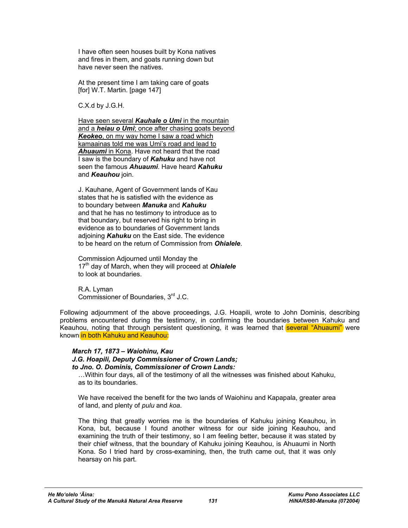I have often seen houses built by Kona natives and fires in them, and goats running down but have never seen the natives.

At the present time I am taking care of goats [for] W.T. Martin. [page 147]

C.X.d by J.G.H.

Have seen several *Kauhale o Umi* in the mountain and a *heiau o Umi*; once after chasing goats beyond *Keokeo*, on my way home I saw a road which kamaainas told me was Umi's road and lead to *Ahuaumi* in Kona. Have not heard that the road I saw is the boundary of *Kahuku* and have not seen the famous *Ahuaumi*. Have heard *Kahuku* and *Keauhou* join.

J. Kauhane, Agent of Government lands of Kau states that he is satisfied with the evidence as to boundary between *Manuka* and *Kahuku* and that he has no testimony to introduce as to that boundary, but reserved his right to bring in evidence as to boundaries of Government lands adjoining *Kahuku* on the East side. The evidence to be heard on the return of Commission from *Ohialele*.

Commission Adjourned until Monday the 17<sup>th</sup> day of March, when they will proceed at **Ohialele** to look at boundaries.

R.A. Lyman Commissioner of Boundaries, 3<sup>rd</sup> J.C.

Following adjournment of the above proceedings, J.G. Hoapili, wrote to John Dominis, describing problems encountered during the testimony, in confirming the boundaries between Kahuku and Keauhou, noting that through persistent questioning, it was learned that **several "Ahuaumi"** were known in both Kahuku and Keauhou:

## *March 17, 1873 – Waiohinu, Kau*

*J.G. Hoapili, Deputy Commissioner of Crown Lands; to Jno. O. Dominis, Commissioner of Crown Lands:* 

…Within four days, all of the testimony of all the witnesses was finished about Kahuku, as to its boundaries.

We have received the benefit for the two lands of Waiohinu and Kapapala, greater area of land, and plenty of *pulu* and *koa*.

The thing that greatly worries me is the boundaries of Kahuku joining Keauhou, in Kona, but, because I found another witness for our side joining Keauhou, and examining the truth of their testimony, so I am feeling better, because it was stated by their chief witness, that the boundary of Kahuku joining Keauhou, is Ahuaumi in North Kona. So I tried hard by cross-examining, then, the truth came out, that it was only hearsay on his part.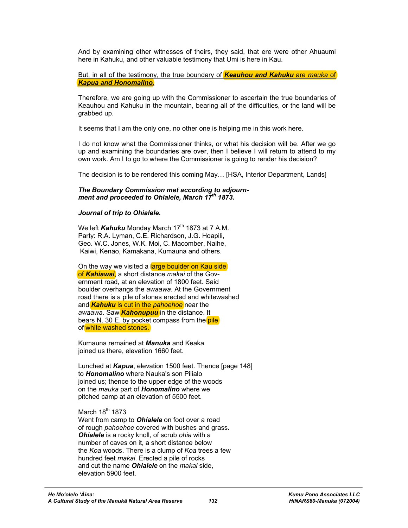And by examining other witnesses of theirs, they said, that ere were other Ahuaumi here in Kahuku, and other valuable testimony that Umi is here in Kau.

But, in all of the testimony, the true boundary of *Keauhou and Kahuku* are *mauka* of *Kapua and Honomalino*.

Therefore, we are going up with the Commissioner to ascertain the true boundaries of Keauhou and Kahuku in the mountain, bearing all of the difficulties, or the land will be grabbed up.

It seems that I am the only one, no other one is helping me in this work here.

I do not know what the Commissioner thinks, or what his decision will be. After we go up and examining the boundaries are over, then I believe I will return to attend to my own work. Am I to go to where the Commissioner is going to render his decision?

The decision is to be rendered this coming May… [HSA, Interior Department, Lands]

### *The Boundary Commission met according to adjournment and proceeded to Ohialele, March 17th 1873.*

#### *Journal of trip to Ohialele.*

We left *Kahuku* Monday March 17<sup>th</sup> 1873 at 7 A.M. Party: R.A. Lyman, C.E. Richardson, J.G. Hoapili, Geo. W.C. Jones, W.K. Moi, C. Macomber, Naihe, Kaiwi, Kenao, Kamakana, Kumauna and others.

On the way we visited a large boulder on Kau side of *Kahiawai*, a short distance *makai* of the Government road, at an elevation of 1800 feet. Said boulder overhangs the *awaawa*. At the Government road there is a pile of stones erected and whitewashed and *Kahuku* is cut in the *pahoehoe* near the *awaawa*. Saw *Kahonupuu* in the distance. It bears N. 30 E. by pocket compass from the **pile** of white washed stones.

Kumauna remained at *Manuka* and Keaka joined us there, elevation 1660 feet.

Lunched at *Kapua*, elevation 1500 feet. Thence [page 148] to *Honomalino* where Nauka's son Pilialo joined us; thence to the upper edge of the woods on the *mauka* part of *Honomalino* where we pitched camp at an elevation of 5500 feet.

## March  $18^{th}$  1873

Went from camp to *Ohialele* on foot over a road of rough *pahoehoe* covered with bushes and grass. *Ohialele* is a rocky knoll, of scrub *ohia* with a number of caves on it, a short distance below the *Koa* woods. There is a clump of *Koa* trees a few hundred feet *makai*. Erected a pile of rocks and cut the name *Ohialele* on the *makai* side, elevation 5900 feet.